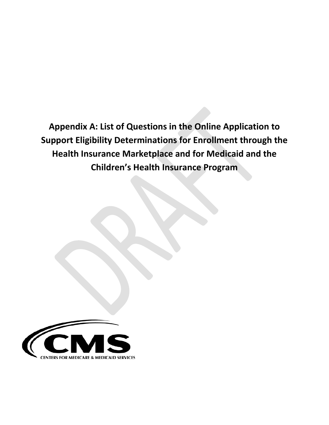**Appendix A: List of Questions in the Online Application to Support Eligibility Determinations for Enrollment through the Health Insurance Marketplace and for Medicaid and the Children's Health Insurance Program** 

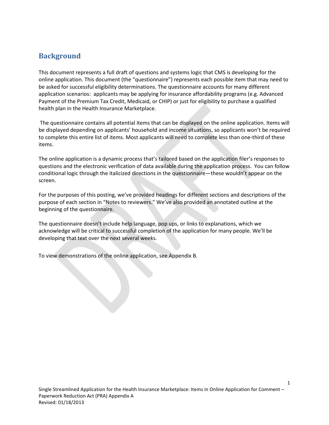## **Background**

This document represents a full draft of questions and systems logic that CMS is developing for the online application. This document (the "questionnaire") represents each possible item that may need to be asked for successful eligibility determinations. The questionnaire accounts for many different application scenarios: applicants may be applying for insurance affordability programs (e.g. Advanced Payment of the Premium Tax Credit, Medicaid, or CHIP) or just for eligibility to purchase a qualified health plan in the Health Insurance Marketplace.

The questionnaire contains all potential items that can be displayed on the online application. Items will be displayed depending on applicants' household and income situations, so applicants won't be required to complete this entire list of items. Most applicants will need to complete less than one-third of these items.

The online application is a dynamic process that's tailored based on the application filer's responses to questions and the electronic verification of data available during the application process. You can follow conditional logic through the italicized directions in the questionnaire—these wouldn't appear on the screen.

For the purposes of this posting, we've provided headings for different sections and descriptions of the purpose of each section in "Notes to reviewers." We've also provided an annotated outline at the beginning of the questionnaire.

The questionnaire doesn't include help language, pop ups, or links to explanations, which we acknowledge will be critical to successful completion of the application for many people. We'll be developing that text over the next several weeks.

To view demonstrations of the online application, see Appendix B.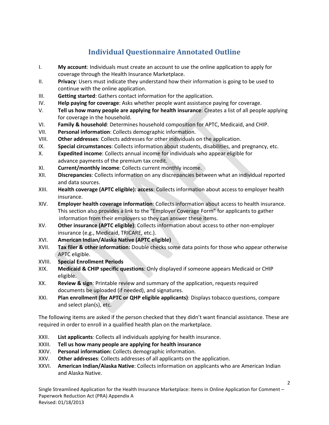# **Individual Questionnaire Annotated Outline**

- I. **My account**: Individuals must create an account to use the online application to apply for coverage through the Health Insurance Marketplace.
- II. **Privacy**: Users must indicate they understand how their information is going to be used to continue with the online application.
- III. **Getting started**: Gathers contact information for the application.
- IV. **Help paying for coverage**: Asks whether people want assistance paying for coverage.
- V. **Tell us how many people are applying for health insurance**: Creates a list of all people applying for coverage in the household.
- VI. **Family & household**: Determines household composition for APTC, Medicaid, and CHIP.
- VII. **Personal information**: Collects demographic information.
- VIII. **Other addresses**: Collects addresses for other individuals on the application.
- IX. **Special circumstances**: Collects information about students, disabilities, and pregnancy, etc.
- X. **Expedited income**: Collects annual income for individuals who appear eligible for advance payments of the premium tax credit.
- XI. **Current/monthly income**: Collects current monthly income.
- XII. **Discrepancies**: Collects information on any discrepancies between what an individual reported and data sources.
- XIII. **Health coverage (APTC eligible): access**: Collects information about access to employer health insurance.
- XIV. **Employer health coverage information**: Collects information about access to health insurance. This section also provides a link to the "Employer Coverage Form" for applicants to gather information from their employers so they can answer these items.
- XV. **Other insurance (APTC eligible)**: Collects information about access to other non-employer insurance (e.g., Medicaid, TRICARE, etc.).
- XVI. **American Indian/Alaska Native (APTC eligible)**
- XVII. **Tax filer & other information:** Double checks some data points for those who appear otherwise APTC eligible.
- XVIII. **Special Enrollment Periods**
- XIX. **Medicaid & CHIP specific questions**: Only displayed if someone appears Medicaid or CHIP eligible.
- XX. **Review & sign**: Printable review and summary of the application, requests required documents be uploaded (if needed), and signatures.
- XXI. **Plan enrollment (for APTC or QHP eligible applicants)**: Displays tobacco questions, compare and select plan(s), etc.

The following items are asked if the person checked that they didn't want financial assistance. These are required in order to enroll in a qualified health plan on the marketplace.

- XXII. **List applicants**: Collects all individuals applying for health insurance.
- XXIII. **Tell us how many people are applying for health insurance**
- XXIV. **Personal information:** Collects demographic information.
- XXV. **Other addresses**: Collects addresses of all applicants on the application.
- XXVI. **American Indian/Alaska Native**: Collects information on applicants who are American Indian and Alaska Native.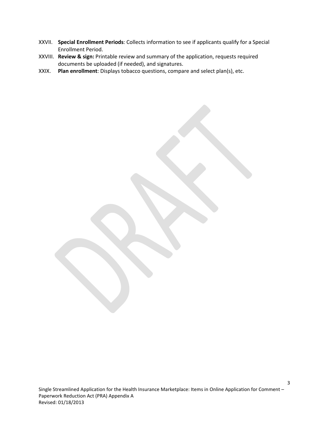- XXVII. **Special Enrollment Periods**: Collects information to see if applicants qualify for a Special Enrollment Period.
- XXVIII. **Review & sign:** Printable review and summary of the application, requests required documents be uploaded (if needed), and signatures.
- XXIX. **Plan enrollment**: Displays tobacco questions, compare and select plan(s), etc.

Single Streamlined Application for the Health Insurance Marketplace: Items in Online Application for Comment – Paperwork Reduction Act (PRA) Appendix A Revised: 01/18/2013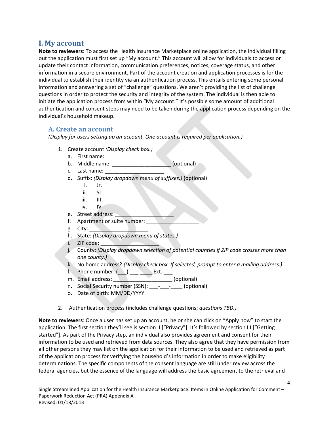## **I. My account**

**Note to reviewers**: To access the Health Insurance Marketplace online application, the individual filling out the application must first set up "My account." This account will allow for individuals to access or update their contact information, communication preferences, notices, coverage status, and other information in a secure environment. Part of the account creation and application processes is for the individual to establish their identity via an authentication process. This entails entering some personal information and answering a set of "challenge" questions. We aren't providing the list of challenge questions in order to protect the security and integrity of the system. The individual is then able to initiate the application process from within "My account." It's possible some amount of additional authentication and consent steps may need to be taken during the application process depending on the individual's household makeup.

### **A. Create an account**

*(Display for users setting up an account. One account is required per application.)*

- 1. Create account *(Display check box.)*
	- a. First name:
	- b. Middle name:  $($ optional)
	- c. Last name:
	- d. Suffix: *(Display dropdown menu of suffixes.)* (optional)
		- i. Jr.
		- ii. Sr.
		- iii. III
		- iv. IV
	- e. Street address:
	- f. Apartment or suite number:
	- $g.$  City:  $\qquad \qquad$
	- h. State: *(Display dropdown menu of states.)*
	- $i.$  ZIP code:  $\blacksquare$
	- j. County: *(Display dropdown selection of potential counties if ZIP code crosses more than one county.)*
	- k. No home address? *(Display check box. If selected, prompt to enter a mailing address.)*
	- 1. Phone number:  $(\_)$  \_\_\_\_\_\_\_\_\_\_\_\_\_\_ Ext. \_\_\_\_
	- m. Email address: \_\_\_\_\_\_\_\_\_\_\_\_\_\_\_\_\_\_\_\_\_\_\_\_(optional)
	- n. Social Security number (SSN): \_\_\_-\_\_\_\_\_\_\_\_ (optional)
	- o. Date of birth: MM/DD/YYYY
- 2. Authentication process (includes challenge questions; *questions TBD.)*

**Note to reviewers**: Once a user has set up an account, he or she can click on "Apply now" to start the application. The first section they'll see is section II ["Privacy"]. It's followed by section III ["Getting started"]. As part of the Privacy step, an individual also provides agreement and consent for their information to be used and retrieved from data sources. They also agree that they have permission from all other persons they may list on the application for their information to be used and retrieved as part of the application process for verifying the household's information in order to make eligibility determinations. The specific components of the consent language are still under review across the federal agencies, but the essence of the language will address the basic agreement to the retrieval and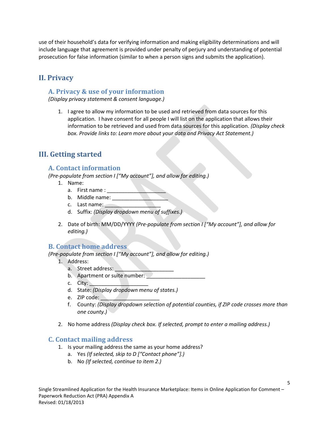use of their household's data for verifying information and making eligibility determinations and will include language that agreement is provided under penalty of perjury and understanding of potential prosecution for false information (similar to when a person signs and submits the application).

# **II. Privacy**

### **A. Privacy & use of your information**

*(Display privacy statement & consent language.)*

1. I agree to allow my information to be used and retrieved from data sources for this application. I have consent for all people I will list on the application that allows their information to be retrieved and used from data sources for this application. *(Display check box. Provide links to: Learn more about your data and Privacy Act Statement.)*

## **III. Getting started**

### **A. Contact information**

- *(Pre-populate from section I ["My account"], and allow for editing.)*
	- 1. Name:
		- a. First name :
		- b. Middle name:
		- c. Last name:
		- d. Suffix: *(Display dropdown menu of suffixes.)*
	- 2. Date of birth: MM/DD/YYYY *(Pre-populate from section I ["My account"], and allow for editing.)*

### **B. Contact home address**

*(Pre-populate from section I ["My account"], and allow for editing.)*

- 1. Address:
	- a. Street address:
	- b. Apartment or suite number:
	- c. City:
	- d. State: *(Display dropdown menu of states.)*
	- e. ZIP code: \_\_\_\_\_\_\_\_\_\_
	- f. County: *(Display dropdown selection of potential counties, if ZIP code crosses more than one county.)*
- 2. No home address *(Display check box. If selected, prompt to enter a mailing address.)*

### **C. Contact mailing address**

- 1. Is your mailing address the same as your home address?
	- a. Yes *(If selected, skip to D ["Contact phone"].)*
	- b. No *(If selected, continue to item 2.)*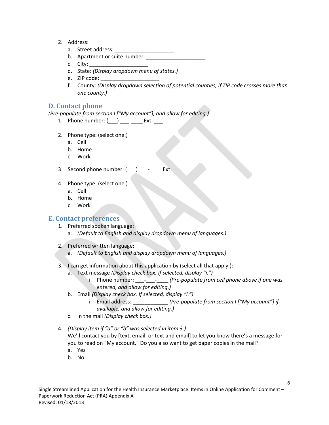- 2. Address:
	- a. Street address: \_\_\_\_\_\_\_\_\_\_\_
	- b. Apartment or suite number:
	- c. City:
	- d. State: *(Display dropdown menu of states.)*
	- e. ZIP code:
	- f. County: *(Display dropdown selection of potential counties, if ZIP code crosses more than one county.)*

### **D. Contact phone**

*(Pre-populate from section I ["My account"], and allow for editing.)*

- 1. Phone number:  $(\_\_\_) \_\_\_$  Ext.  $\_\_$
- 2. Phone type: (select one.)
	- a. Cell
	- b. Home
	- c. Work
- 3. Second phone number:  $($   $)$   $-$  Ext.
- 4. Phone type: (select one.)
	- a. Cell
	- b. Home
	- c. Work

### **E. Contact preferences**

- 1. Preferred spoken language:
	- a. *(Default to English and display dropdown menu of languages.)*
- 2. Preferred written language:
	- a. *(Default to English and display dropdown menu of languages.)*
- 3. I can get information about this application by (select all that apply.):
	- a. Text message *(Display check box. If selected, display "i.")*
		- i. Phone number:  $\frac{1}{2}$  *(Pre-populate from cell phone above if one was entered, and allow for editing.)*
	- b. Email *(Display check box. If selected, display "i.")*
		- i. Email address: \_\_\_\_\_\_\_\_\_\_\_\_ *(Pre-populate from section I ["My account"] if available, and allow for editing.)*
	- c. In the mail *(Display check box.)*
- 4. *(Display item if "a" or "b" was selected in item 3.)* We'll contact you by [text, email, or text and email] to let you know there's a message for you to read on "My account." Do you also want to get paper copies in the mail?
	- a. Yes b. No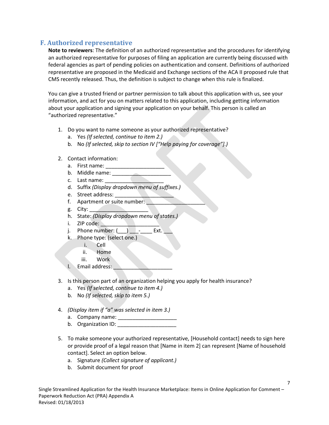## **F. Authorized representative**

**Note to reviewers**: The definition of an authorized representative and the procedures for identifying an authorized representative for purposes of filing an application are currently being discussed with federal agencies as part of pending policies on authentication and consent. Definitions of authorized representative are proposed in the Medicaid and Exchange sections of the ACA II proposed rule that CMS recently released. Thus, the definition is subject to change when this rule is finalized.

You can give a trusted friend or partner permission to talk about this application with us, see your information, and act for you on matters related to this application, including getting information about your application and signing your application on your behalf. This person is called an "authorized representative."

- 1. Do you want to name someone as your authorized representative?
	- a. Yes *(If selected, continue to item 2.)*
	- b. No *(If selected, skip to section IV ["Help paying for coverage"].)*
- 2. Contact information:
	- a. First name:
	- b. Middle name:
	- c. Last name:
	- d. Suffix *(Display dropdown menu of suffixes.)*
	- e. Street address: \_\_\_\_\_\_\_\_\_\_\_\_\_\_\_\_\_\_\_\_
	- f. Apartment or suite number:
	- $g.$  City:
	- h. State: *(Display dropdown menu of states.)*
	- i. ZIP code:
	- j. Phone number:  $($   $)$   $-$  Ext.
	- k. Phone type: (select one.)
		- i. Cell
			- ii. Home
		- iii. Work
	- l. Email address:
- 3. Is this person part of an organization helping you apply for health insurance?
	- a. Yes *(If selected, continue to item 4.)*
	- b. No *(If selected, skip to item 5.)*
- 4. *(Display item if "a" was selected in item 3.)* 
	- a. Company name:
		- b. Organization ID:
- 5. To make someone your authorized representative, [Household contact] needs to sign here or provide proof of a legal reason that [Name in item 2] can represent [Name of household contact]. Select an option below.
	- a. Signature *(Collect signature of applicant.)*
	- b. Submit document for proof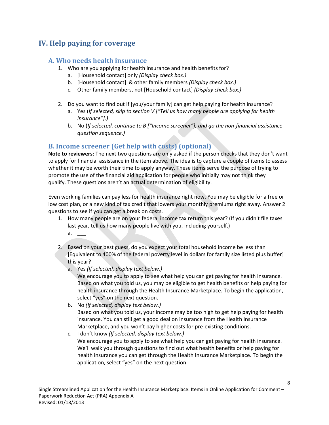## **IV. Help paying for coverage**

### **A. Who needs health insurance**

- 1. Who are you applying for health insurance and health benefits for?
	- a. [Household contact] only *(Display check box.)*
	- b. [Household contact] & other family members *(Display check box.)*
	- c. Other family members, not [Household contact] *(Display check box.)*
- 2. Do you want to find out if [you/your family] can get help paying for health insurance?
	- a. Yes (*If selected, skip to section V ["Tell us how many people are applying for health insurance"].)*
	- b. No (*If selected, continue to B ["Income screener"], and go the non-financial assistance question sequence.)*

## **B. Income screener (Get help with costs) (optional)**

**Note to reviewers:** The next two questions are only asked if the person checks that they don't want to apply for financial assistance in the item above. The idea is to capture a couple of items to assess whether it may be worth their time to apply anyway. These items serve the purpose of trying to promote the use of the financial aid application for people who initially may not think they qualify. These questions aren't an actual determination of eligibility.

Even working families can pay less for health insurance right now. You may be eligible for a free or low cost plan, or a new kind of tax credit that lowers your monthly premiums right away. Answer 2 questions to see if you can get a break on costs.

- 1. How many people are on your federal income tax return this year? (If you didn't file taxes last year, tell us how many people live with you, including yourself.)  $a.$
- 2. Based on your best guess, do you expect your total household income be less than [Equivalent to 400% of the federal poverty level in dollars for family size listed plus buffer] this year?
	- a. Yes *(If selected, display text below.)*
		- We encourage you to apply to see what help you can get paying for health insurance. Based on what you told us, you may be eligible to get health benefits or help paying for health insurance through the Health Insurance Marketplace. To begin the application, select "yes" on the next question.
	- b. No *(If selected, display text below.)* Based on what you told us, your income may be too high to get help paying for health insurance. You can still get a good deal on insurance from the Health Insurance Marketplace, and you won't pay higher costs for pre-existing conditions.
	- c. I don't know *(If selected, display text below.)* We encourage you to apply to see what help you can get paying for health insurance. We'll walk you through questions to find out what health benefits or help paying for health insurance you can get through the Health Insurance Marketplace. To begin the application, select "yes" on the next question.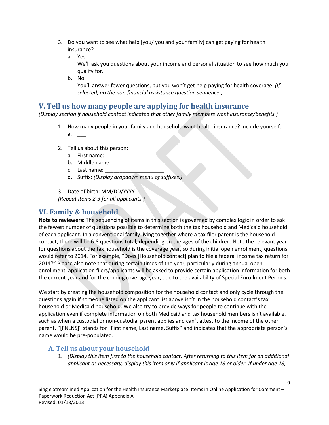- 3. Do you want to see what help [you/ you and your family] can get paying for health insurance?
	- a. Yes

We'll ask you questions about your income and personal situation to see how much you qualify for.

b. No

You'll answer fewer questions, but you won't get help paying for health coverage. *(If selected, go the non-financial assistance question sequence.)*

## **V. Tell us how many people are applying for health insurance**

*(Display section if household contact indicated that other family members want insurance/benefits.)*

- 1. How many people in your family and household want health insurance? Include yourself.  $a.$
- 2. Tell us about this person:
	- a. First name:
	- b. Middle name:
	- c. Last name:
	- d. Suffix: *(Display dropdown menu of suffixes.)*

3. Date of birth: MM/DD/YYYY *(Repeat items 2-3 for all applicants.)*

## **VI. Family & household**

**Note to reviewers:** The sequencing of items in this section is governed by complex logic in order to ask the fewest number of questions possible to determine both the tax household and Medicaid household of each applicant. In a conventional family living together where a tax filer parent is the household contact, there will be 6-8 questions total, depending on the ages of the children. Note the relevant year for questions about the tax household is the coverage year, so during initial open enrollment, questions would refer to 2014. For example, "Does [Household contact] plan to file a federal income tax return for 2014?" Please also note that during certain times of the year, particularly during annual open enrollment, application filers/applicants will be asked to provide certain application information for both the current year and for the coming coverage year, due to the availability of Special Enrollment Periods.

We start by creating the household composition for the household contact and only cycle through the questions again if someone listed on the applicant list above isn't in the household contact's tax household or Medicaid household. We also try to provide ways for people to continue with the application even if complete information on both Medicaid and tax household members isn't available, such as when a custodial or non-custodial parent applies and can't attest to the income of the other parent. "[FNLNS]" stands for "First name, Last name, Suffix" and indicates that the appropriate person's name would be pre-populated.

## **A. Tell us about your household**

1. *(Display this item first to the household contact. After returning to this item for an additional applicant as necessary, display this item only if applicant is age 18 or older. If under age 18,*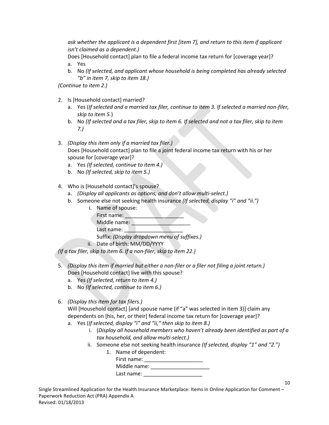*ask whether the applicant is a dependent first [item 7], and return to this item if applicant isn't claimed as a dependent.)*

Does [Household contact] plan to file a federal income tax return for [coverage year]? a. Yes

b. No *(If selected, and applicant whose household is being completed has already selected "b" in item 7, skip to item 18.)*

*(Continue to item 2.)*

- 2. Is [Household contact] married?
	- a. Yes (*If selected and a married tax filer, continue to item 3. If selected a married non-filer, skip to item 5.*)
	- b. No *(If selected and a tax filer, skip to item 6. If selected and not a tax filer, skip to item 7.)*
- 3. *(Display this item only if a married tax filer.)* Does [Household contact] plan to file a joint federal income tax return with his or her spouse for [coverage year]?
	- a. Yes *(If selected, continue to item 4.)*
	- b. No *(If selected, skip to item 5.)*
- 4. Who is [Household contact]'s spouse?

- a. *(Display all applicants as options, and don't allow multi-select.)*
- b. Someone else not seeking health insurance *(If selected, display "i" and "ii.")*

| i. | Name of spouse:                              |  |  |
|----|----------------------------------------------|--|--|
|    | First name:                                  |  |  |
|    | Middle name:                                 |  |  |
|    | Last name:                                   |  |  |
|    | Suffix: (Display dropdown menu of suffixes.) |  |  |

ii. Date of birth: MM/DD/YYYY

*(If a tax filer, skip to item 6. If a non-filer, skip to item 22.)* 

- 5. *(Display this item if married but either a non-filer or a filer not filing a joint return.)* Does [Household contact] live with this spouse?
	- a. Yes *(If selected, return to item 4.)*
	- b. No *(If selected, continue to item 6.)*
- 6. *(Display this item for tax filers.)*

Will [Household contact] [and spouse name (if "a" was selected in item 3)] claim any dependents on [his, her, or their] federal income tax return for [coverage year]?

- a. Yes (*If selected, display "i" and "ii," then skip to item 8.)*
	- i. (*Display all household members who haven't already been identified as part of a tax household, and allow multi-select.)*
	- ii. Someone else not seeking health insurance *(If selected, display "1" and "2.")*

| Name of dependent: |
|--------------------|
| First name:        |
| Middle name:       |
| Last name:         |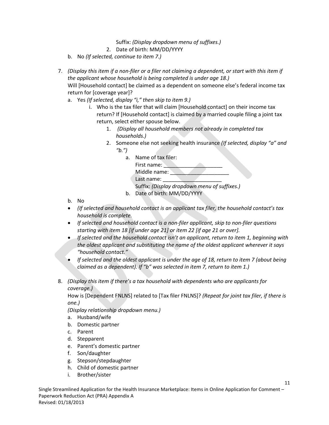Suffix: *(Display dropdown menu of suffixes.)*

- 2. Date of birth: MM/DD/YYYY
- b. No *(If selected, continue to item 7.)*
- 7. *(Display this item if a non-filer or a filer not claiming a dependent, or start with this item if the applicant whose household is being completed is under age 18.)* Will [Household contact] be claimed as a dependent on someone else's federal income tax return for [coverage year]?
	- a. Yes *(If selected, display "i," then skip to item 9.)*
		- i. Who is the tax filer that will claim [Household contact] on their income tax return? If [Household contact] is claimed by a married couple filing a joint tax return, select either spouse below.
			- 1. *(Display all household members not already in completed tax households.)*
			- 2. Someone else not seeking health insurance *(If selected, display "a" and "b.")*

| a. | Name of tax filer:                           |
|----|----------------------------------------------|
|    | First name:                                  |
|    | Middle name:                                 |
|    | Last name:                                   |
|    | Suffix: (Display dropdown menu of suffixes.) |
| b. | Date of birth: MM/DD/YYYY                    |

- b. No
- *(If selected and household contact is an applicant tax filer, the household contact's tax household is complete.*
- *If selected and household contact is a non-filer applicant, skip to non-filer questions starting with item 18 [if under age 21] or item 22 [if age 21 or over].*
- *If selected and the household contact isn't an applicant, return to item 1, beginning with the oldest applicant and substituting the name of the oldest applicant wherever it says "household contact."*
- *If selected and the oldest applicant is under the age of 18, return to item 7 (about being claimed as a dependent). If "b" was selected in item 7, return to item 1.)*
- 8. *(Display this item if there's a tax household with dependents who are applicants for coverage.)*

How is [Dependent FNLNS] related to [Tax filer FNLNS]? *(Repeat for joint tax filer, if there is one.)*

*(Display relationship dropdown menu.)*

- a. Husband/wife
- b. Domestic partner
- c. Parent
- d. Stepparent
- e. Parent's domestic partner
- f. Son/daughter
- g. Stepson/stepdaughter
- h. Child of domestic partner
- i. Brother/sister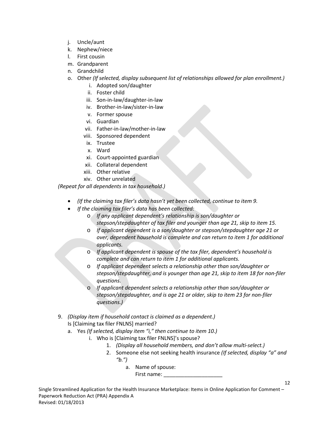- j. Uncle/aunt
- k. Nephew/niece
- l. First cousin
- m. Grandparent
- n. Grandchild
- o. Other *(If selected, display subsequent list of relationships allowed for plan enrollment.)*
	- i. Adopted son/daughter
	- ii. Foster child
	- iii. Son-in-law/daughter-in-law
	- iv. Brother-in-law/sister-in-law
	- v. Former spouse
	- vi. Guardian
	- vii. Father-in-law/mother-in-law
	- viii. Sponsored dependent
	- ix. Trustee
	- x. Ward
	- xi. Court-appointed guardian
	- xii. Collateral dependent
	- xiii. Other relative
	- xiv. Other unrelated

*(Repeat for all dependents in tax household.)*

- *(If the claiming tax filer's data hasn't yet been collected, continue to item 9.*
- *If the claiming tax filer's data has been collected:*
	- o *If any applicant dependent's relationship is son/daughter or stepson/stepdaughter of tax filer and younger than age 21, skip to item 15.*
	- o *If applicant dependent is a son/daughter or stepson/stepdaughter age 21 or over, dependent household is complete and can return to item 1 for additional applicants.*
	- o *If applicant dependent is spouse of the tax filer, dependent's household is complete and can return to item 1 for additional applicants.*
	- o *If applicant dependent selects a relationship other than son/daughter or stepson/stepdaughter, and is younger than age 21, skip to item 18 for non-filer questions.*
	- If applicant dependent selects a relationship other than son/daughter or *stepson/stepdaughter, and is age 21 or older, skip to item 23 for non-filer questions.)*
- 9. *(Display item if household contact is claimed as a dependent.)* Is [Claiming tax filer FNLNS] married?
	- a. Yes *(If selected, display item "i," then continue to item 10.)*
		- i. Who is [Claiming tax filer FNLNS]'s spouse?
			- 1. *(Display all household members, and don't allow multi-select.)*
			- 2. Someone else not seeking health insurance *(If selected, display "a" and "b.")*

- a. Name of spouse:
	- First name: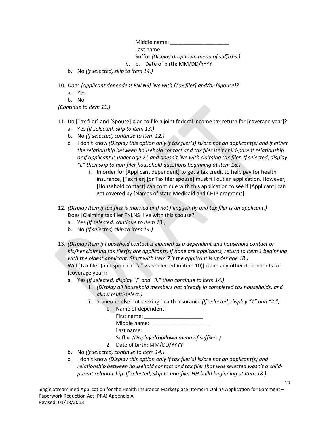Middle name: \_\_\_\_\_\_\_\_\_\_\_\_\_\_\_\_\_\_\_\_

Last name: Suffix: *(Display dropdown menu of suffixes.)*

b. b. Date of birth: MM/DD/YYYY

- b. No *(If selected, skip to item 14.)*
- 10. *Does [Applicant dependent FNLNS] live with [Tax filer] and/or [Spouse]?*
	- a. Yes
	- b. No

*(Continue to item 11.)*

- 11. Do [Tax filer] and [Spouse] plan to file a joint federal income tax return for [coverage year]?
	- a. Yes *(If selected, skip to item 13.)*
	- b. No *(If selected, continue to item 12.)*
	- c. I don't know *(Display this option only if tax filer(s) is/are not an applicant(s) and if either the relationship between household contact and tax filer isn't child-parent relationship or if applicant is under age 21 and doesn't live with claiming tax filer. If selected, display "i," then skip to non-filer household questions beginning at item 18.)*
		- i. In order for [Applicant dependent] to get a tax credit to help pay for health insurance, [Tax filer] [or Tax filer spouse] must fill out an application. However, [Household contact] can continue with this application to see if [Applicant] can get covered by [Names of state Medicaid and CHIP programs].
- 12. *(Display item if tax filer is married and not filing jointly and tax filer is an applicant.)* Does [Claiming tax filer FNLNS] live with this spouse?
	- a. Yes *(If selected, continue to item 13.)*
	- b. No *(If selected, skip to item 14.)*
- 13. *(Display item if household contact is claimed as a dependent and household contact or his/her claiming tax filer(s) are applicants. If none are applicants, return to item 1 beginning with the oldest applicant. Start with item 7 if the applicant is under age 18.)* Will [Tax filer (and spouse if "a" was selected in item 10)] claim any other dependents for [coverage year]?
	- a. Yes *(If selected, display "i" and "ii," then continue to item 14.)*
		- i. *(Display all household members not already in completed tax households, and allow multi-select.)*
		- ii. Someone else not seeking health insurance *(If selected, display "1" and "2.")* 1. Name of dependent:

| <b>1.</b> INGHIC UI UCUCHUCHU.               |  |
|----------------------------------------------|--|
| First name:                                  |  |
| Middle name:                                 |  |
| Last name:                                   |  |
| Suffix: (Display dropdown menu of suffixes.) |  |
| Date of birth: MM/DD/YYYY                    |  |

- b. No *(If selected, continue to item 14.)*
- c. I don't know *(Display this option only if tax filer(s) is/are not an applicant(s) and relationship between household contact and tax filer that was selected wasn't a childparent relationship. If selected, skip to non-filer HH build beginning at item 18.)*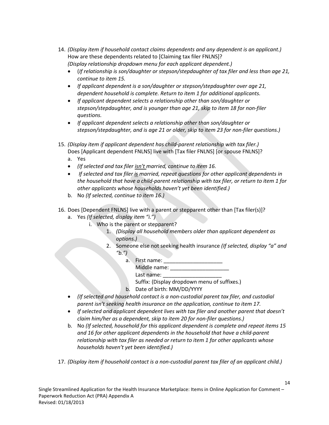- 14. *(Display item if household contact claims dependents and any dependent is an applicant.)* How are these dependents related to [Claiming tax filer FNLNS]? *(Display relationship dropdown menu for each applicant dependent.)*
	- (*If relationship is son/daughter or stepson/stepdaughter of tax filer and less than age 21, continue to item 15.*
	- *If applicant dependent is a son/daughter or stepson/stepdaughter over age 21, dependent household is complete. Return to item 1 for additional applicants.*
	- *If applicant dependent selects a relationship other than son/daughter or stepson/stepdaughter, and is younger than age 21, skip to item 18 for non-filer questions.*
	- *If applicant dependent selects a relationship other than son/daughter or stepson/stepdaughter, and is age 21 or older, skip to item 23 for non-filer questions.)*
- 15. *(Display item if applicant dependent has child-parent relationship with tax filer.)* Does [Applicant dependent FNLNS] live with [Tax filer FNLNS] [or spouse FNLNS]?
	- a. Yes
	- *(If selected and tax filer isn't married, continue to item 16.*
	- *If selected and tax filer is married, repeat questions for other applicant dependents in the household that have a child-parent relationship with tax filer, or return to item 1 for other applicants whose households haven't yet been identified.)*
	- b. No *(If selected, continue to item 16.)*
- 16. Does [Dependent FNLNS] live with a parent or stepparent other than [Tax filer(s)]?
	- a. Yes *(If selected, display item "i.")*
		- i. Who is the parent or stepparent?
			- 1. *(Display all household members older than applicant dependent as options.)*
			- 2. Someone else not seeking health insurance *(If selected, display "a" and "b.")*

14

a. First name: \_\_\_\_\_\_\_\_\_\_\_\_\_\_\_\_\_\_\_\_

Middle name: \_\_\_\_\_\_\_\_\_\_\_\_\_\_\_\_\_\_\_\_ Last name:

Suffix: (Display dropdown menu of suffixes.)

- b. Date of birth: MM/DD/YYYY
- *(If selected and household contact is a non-custodial parent tax filer, and custodial parent isn't seeking health insurance on the application, continue to item 17.*
- *If selected and applicant dependent lives with tax filer and another parent that doesn't claim him/her as a dependent, skip to item 20 for non-filer questions.)*
- b. No *(If selected, household for this applicant dependent is complete and repeat items 15 and 16 for other applicant dependents in the household that have a child-parent relationship with tax filer as needed or return to item 1 for other applicants whose households haven't yet been identified.)*
- 17. *(Display item if household contact is a non-custodial parent tax filer of an applicant child.)*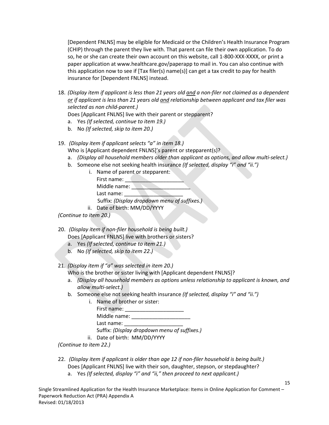[Dependent FNLNS] may be eligible for Medicaid or the Children's Health Insurance Program (CHIP) through the parent they live with. That parent can file their own application. To do so, he or she can create their own account on this website, call 1-800-XXX-XXXX, or print a paper application at www.healthcare.gov/paperapp to mail in. You can also continue with this application now to see if [Tax filer(s) name(s)] can get a tax credit to pay for health insurance for [Dependent FNLNS] instead.

- 18. *(Display item if applicant is less than 21 years old and a non-filer not claimed as a dependent or if applicant is less than 21 years old and relationship between applicant and tax filer was selected as non child-parent.)*
	- Does [Applicant FNLNS] live with their parent or stepparent?
	- a. Yes *(If selected, continue to item 19.)*
	- b. No *(If selected, skip to item 20.)*
- 19. *(Display item if applicant selects "a" in item 18.)*
	- Who is [Applicant dependent FNLNS]'s parent or stepparent(s)?
	- a. *(Display all household members older than applicant as options, and allow multi-select.)*
	- b. Someone else not seeking health insurance *(If selected, display "i" and "ii.")*

|     | Name of parent or stepparent:                |
|-----|----------------------------------------------|
|     | First name:                                  |
|     | Middle name:                                 |
|     | Last name:                                   |
|     | Suffix: (Display dropdown menu of suffixes.) |
| ii. | Date of birth: MM/DD/YYYY                    |

*(Continue to item 20.)*

- 20. *(Display item if non-filer household is being built.)*
	- Does [Applicant FNLNS] live with brothers or sisters?
	- a. Yes *(If selected, continue to item 21.)*
	- b. No *(If selected, skip to item 22.)*

#### 21. *(Display item if "a" was selected in item 20.)*

- Who is the brother or sister living with [Applicant dependent FNLNS]?
- a. *(Display all household members as options unless relationship to applicant is known, and allow multi-select.)*
- b. Someone else not seeking health insurance *(If selected, display "i" and "ii.")*
	- i. Name of brother or sister: First name: Middle name: \_\_\_\_\_\_\_\_\_\_\_\_\_\_\_\_\_\_\_\_ Last name: Suffix: *(Display dropdown menu of suffixes.)*
	- ii. Date of birth: MM/DD/YYYY

*(Continue to item 22.)*

- 22. *(Display item if applicant is older than age 12 if non-filer household is being built.)* Does [Applicant FNLNS] live with their son, daughter, stepson, or stepdaughter?
	- a. Yes *(If selected, display "i" and "ii," then proceed to next applicant.)*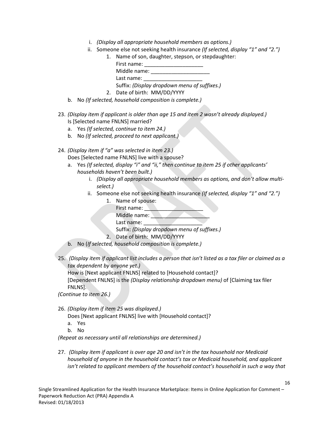- i. *(Display all appropriate household members as options.)*
- ii. Someone else not seeking health insurance *(If selected, display "1" and "2.")*



- b. No *(If selected, household composition is complete.)*
- 23. *(Display item if applicant is older than age 15 and item 2 wasn't already displayed.)* Is [Selected name FNLNS] married?
	- a. Yes *(If selected, continue to item 24.)*
	- b. No *(If selected, proceed to next applicant.)*
- 24. *(Display item if "a" was selected in item 23.)*

Does [Selected name FNLNS] live with a spouse?

- a. Yes *(If selected, display "i" and "ii," then continue to item 25 if other applicants' households haven't been built.)*
	- i. *(Display all appropriate household members as options, and don't allow multiselect.)*
	- ii. Someone else not seeking health insurance *(If selected, display "1" and "2.")*
		- 1. Name of spouse: First name: Middle name: Last name: Suffix: *(Display dropdown menu of suffixes.)* 2. Date of birth: MM/DD/YYYY
- b. No (*If selected, household composition is complete.)*
- 25. *(Display item if applicant list includes a person that isn't listed as a tax filer or claimed as a tax dependent by anyone yet.)*

How is [Next applicant FNLNS] related to [Household contact]?

[Dependent FNLNS] is the *(Display relationship dropdown menu)* of [Claiming tax filer FNLNS].

*(Continue to item 26.)*

26. *(Display item if item 25 was displayed.)*

Does [Next applicant FNLNS] live with [Household contact]?

- a. Yes
- b. No

*(Repeat as necessary until all relationships are determined.)*

27. *(Display item if applicant is over age 20 and isn't in the tax household nor Medicaid household of anyone in the household contact's tax or Medicaid household, and applicant isn't related to applicant members of the household contact's household in such a way that*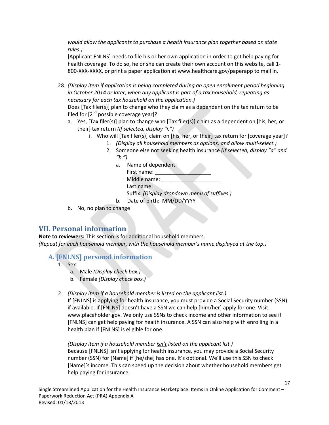*would allow the applicants to purchase a health insurance plan together based on state rules.)*

[Applicant FNLNS] needs to file his or her own application in order to get help paying for health coverage. To do so, he or she can create their own account on this website, call 1- 800-XXX-XXXX, or print a paper application at www.healthcare.gov/paperapp to mail in.

28. *(Display item if application is being completed during an open enrollment period beginning in October 2014 or later, when any applicant is part of a tax household, repeating as necessary for each tax household on the application.)* 

Does [Tax filer(s)] plan to change who they claim as a dependent on the tax return to be filed for  $[2^{nd}$  possible coverage year]?

- a. Yes, [Tax filer(s)] plan to change who [Tax filer(s)] claim as a dependent on [his, her, or their] tax return *(If selected, display "i.")*
	- i. Who will [Tax filer(s)] claim on [his, her, or their] tax return for [coverage year]?
		- 1. *(Display all household members as options, and allow multi-select.)*
		- 2. Someone else not seeking health insurance *(If selected, display "a" and "b.")*
			- a. Name of dependent:

| First name:  |                                              |
|--------------|----------------------------------------------|
| Middle name: |                                              |
| Last name:   |                                              |
|              | Suffix: (Display dropdown menu of suffixes.) |

- b. Date of birth: MM/DD/YYYY
- b. No, no plan to change

### **VII. Personal information**

**Note to reviewers:** This section is for additional household members. *(Repeat for each household member, with the household member's name displayed at the top.)*

#### **A. [FNLNS] personal information**

help paying for insurance.

- 1. Sex:
	- a. Male *(Display check box.)*
	- b. Female *(Display check box.)*
- 2. *(Display item if a household member is listed on the applicant list.)*

If [FNLNS] is applying for health insurance, you must provide a Social Security number (SSN) if available. If [FNLNS] doesn't have a SSN we can help [him/her] apply for one. Visit www.placeholder.gov. We only use SSNs to check income and other information to see if [FNLNS] can get help paying for health insurance. A SSN can also help with enrolling in a health plan if [FNLNS] is eligible for one.

*(Display item if a household member isn't listed on the applicant list.)* Because [FNLNS] isn't applying for health insurance, you may provide a Social Security number (SSN) for [Name] if [he/she] has one. It's optional. We'll use this SSN to check [Name]'s income. This can speed up the decision about whether household members get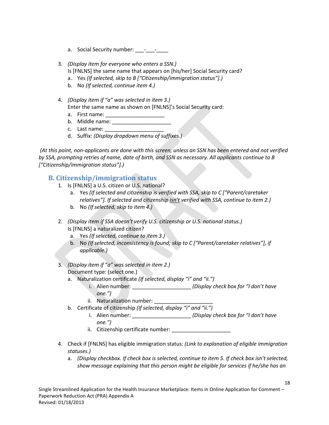- a. Social Security number: \_\_\_-\_\_\_\_-
- 3. *(Display item for everyone who enters a SSN.)* Is [FNLNS] the same name that appears on [his/her] Social Security card?
	- a. Yes *(If selected, skip to B ["Citizenship/immigration status"].)*
	- b. No *(If selected, continue item 4.)*
- 4. *(Display item if "a" was selected in item 3.)* Enter the same name as shown on [FNLNS]'s Social Security card:
	- a. First name: \_\_\_\_\_\_\_\_\_\_\_\_\_\_\_\_\_\_\_\_
	- b. Middle name: \_\_\_\_\_\_\_\_\_\_\_\_\_\_\_\_\_\_\_\_
	- c. Last name:
	- d. Suffix: *(Display dropdown menu of suffixes.)*

*(At this point, non-applicants are done with this screen, unless an SSN has been entered and not verified by SSA, prompting retries of name, date of birth, and SSN as necessary. All applicants continue to B ["Citizenship/immigration status"].)*

### **B. Citizenship/immigration status**

- 1. Is [FNLNS] a U.S. citizen or U.S. national?
	- a. Yes *(If selected and citizenship is verified with SSA, skip to C ["Parent/caretaker relatives"]. If selected and citizenship isn't verified with SSA, continue to item 2.)*
	- b. No *(If selected, skip to item 4.)*
- 2. *(Display item if SSA doesn't verify U.S. citizenship or U.S. national status.)* Is [FNLNS] a naturalized citizen?
	- a. Yes *(If selected, continue to item 3.)*
	- b. No *(If selected, inconsistency is found; skip to C ["Parent/caretaker relatives"], if applicable.)*
- 3. *(Display item if "a" was selected in item 2.)* Document type: (select one.)
	- a. Naturalization certificate *(If selected, display "i" and "ii.")*
		- i. Alien number:  $(Display check box for "I don't have$ *one.")*
		- ii. Naturalization number:
	- b. Certificate of citizenship *(If selected, display "i" and "ii.")*
		- i. Alien number: \_\_\_\_\_\_\_\_\_\_\_\_\_\_\_\_\_\_\_\_ *(Display check box for "I don't have one.")*
		- ii. Citizenship certificate number: \_\_\_\_\_\_\_\_\_\_\_\_\_\_\_\_\_\_\_\_
- 4. Check if [FNLNS] has eligible immigration status: *(Link to explanation of eligible immigration statuses.)*
	- a. *(Display checkbox. If check box is selected, continue to item 5. If check box isn't selected, show message explaining that this person might be eligible for services if he/she has an*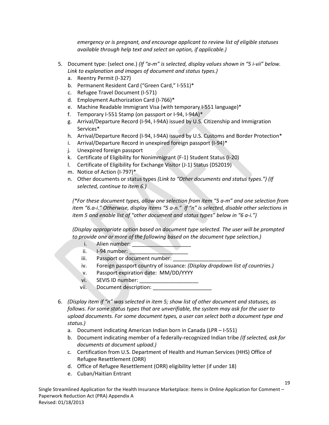*emergency or is pregnant, and encourage applicant to review list of eligible statuses available through help text and select an option, if applicable.)*

- 5. Document type: (select one.) *(If "a-m" is selected, display values shown in "5 i-vii" below. Link to explanation and images of document and status types.)*
	- a. Reentry Permit (I-327)
	- b. Permanent Resident Card ("Green Card," I-551)\*
	- c. Refugee Travel Document (I-571)
	- d. Employment Authorization Card (I-766)\*
	- e. Machine Readable Immigrant Visa (with temporary I-551 language)\*
	- f. Temporary I-551 Stamp (on passport or I-94, I-94A)\*
	- g. Arrival/Departure Record (I-94, I-94A) issued by U.S. Citizenship and Immigration Services\*
	- h. Arrival/Departure Record (I-94, I-94A) issued by U.S. Customs and Border Protection\*
	- i. Arrival/Departure Record in unexpired foreign passport (I-94)\*
	- j. Unexpired foreign passport
	- k. Certificate of Eligibility for Nonimmigrant (F-1) Student Status (I-20)
	- l. Certificate of Eligibility for Exchange Visitor (J-1) Status (DS2019)
	- m. Notice of Action (I-797)\*
	- n. Other documents or status types *(Link to "Other documents and status types.") (If selected, continue to item 6.)*

*(\*For these document types, allow one selection from item "5 a-m" and one selection from item "6.a-i." Otherwise, display items "5 a-n." If "n" is selected, disable other selections in item 5 and enable list of "other document and status types" below in "6 a-i.")*

*(Display appropriate option based on document type selected. The user will be prompted to provide one or more of the following based on the document type selection.)*

- i. Alien number:
- $ii.$  I-94 number:
- iii. Passport or document number:
- iv. Foreign passport country of issuance: *(Display dropdown list of countries.)*
- v. Passport expiration date: MM/DD/YYYY
- vi. SEVIS ID number:
- vii. Document description:
- 6. *(Display item if "n" was selected in item 5; show list of other document and statuses, as follows. For some status types that are unverifiable, the system may ask for the user to upload documents. For some document types, a user can select both a document type and status.)*
	- a. Document indicating American Indian born in Canada (LPR I-551)
	- b. Document indicating member of a federally-recognized Indian tribe *(If selected, ask for documents at document upload.)*
	- c. Certification from U.S. Department of Health and Human Services (HHS) Office of Refugee Resettlement (ORR)
	- d. Office of Refugee Resettlement (ORR) eligibility letter (if under 18)
	- e. Cuban/Haitian Entrant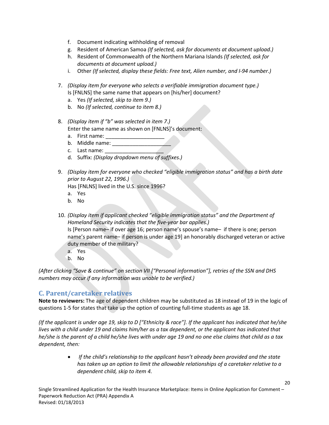- f. Document indicating withholding of removal
- g. Resident of American Samoa *(If selected, ask for documents at document upload.)*
- h. Resident of Commonwealth of the Northern Mariana Islands *(If selected, ask for documents at document upload.)*
- i. Other *(If selected, display these fields: Free text, Alien number, and I-94 number.)*
- 7. *(Display item for everyone who selects a verifiable immigration document type.)* Is [FNLNS] the same name that appears on [his/her] document?
	- a. Yes *(If selected, skip to item 9.)*
	- b. No *(If selected, continue to item 8.)*
- 8. *(Display item if "b" was selected in item 7.)* Enter the same name as shown on [FNLNS]'s document:
	- a. First name:
	- b. Middle name:
	- c. Last name: \_\_\_\_\_\_\_\_\_\_\_\_\_\_\_\_\_\_\_\_
	- d. Suffix: *(Display dropdown menu of suffixes.)*
- 9. *(Display item for everyone who checked "eligible immigration status" and has a birth date prior to August 22, 1996.)*

Has [FNLNS] lived in the U.S. since 1996?

- a. Yes
- b. No
- 10. *(Display item if applicant checked "eligible immigration status" and the Department of Homeland Security indicates that the five-year bar applies.)* Is [Person name– if over age 16; person name's spouse's name– if there is one; person name's parent name– if person is under age 19] an honorably discharged veteran or active duty member of the military?
	- a. Yes
	- b. No

*(After clicking "Save & continue" on section VII ["Personal information"], retries of the SSN and DHS numbers may occur if any information was unable to be verified.)*

### **C. Parent/caretaker relatives**

**Note to reviewers:** The age of dependent children may be substituted as 18 instead of 19 in the logic of questions 1-5 for states that take up the option of counting full-time students as age 18.

*(If the applicant is under age 19, skip to D ["Ethnicity & race"]. If the applicant has indicated that he/she lives with a child under 19 and claims him/her as a tax dependent, or the applicant has indicated that he/she is the parent of a child he/she lives with under age 19 and no one else claims that child as a tax dependent, then:*

> • *If the child's relationship to the applicant hasn't already been provided and the state has taken up an option to limit the allowable relationships of a caretaker relative to a dependent child, skip to item 4.*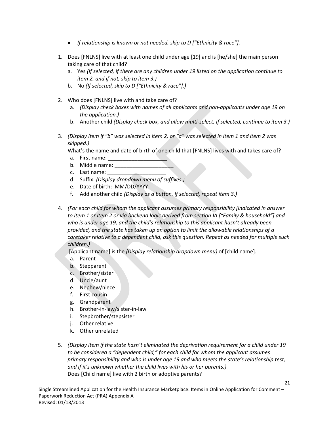- *If relationship is known or not needed, skip to D ["Ethnicity & race"].*
- 1. Does [FNLNS] live with at least one child under age [19] and is [he/she] the main person taking care of that child?
	- a. Yes *(If selected, if there are any children under 19 listed on the application continue to item 2, and if not, skip to item 3.)*
	- b. No *(If selected, skip to D ["Ethnicity & race"].)*
- 2. Who does [FNLNS] live with and take care of?
	- a. *(Display check boxes with names of all applicants and non-applicants under age 19 on the application.)*
	- b. Another child *(Display check box, and allow multi-select. If selected, continue to item 3.)*
- 3. *(Display item if "b" was selected in item 2, or "a" was selected in item 1 and item 2 was skipped.)*

What's the name and date of birth of one child that [FNLNS] lives with and takes care of?

- a. First name:
- b. Middle name:
- c. Last name:
- d. Suffix: *(Display dropdown menu of suffixes.)*
- e. Date of birth: MM/DD/YYYY
- f. Add another child *(Display as a button. If selected, repeat item 3.)*
- 4. *(For each child for whom the applicant assumes primary responsibility [indicated in answer to item 1 or item 2 or via backend logic derived from section VI ["Family & household"] and who is under age 19, and the child's relationship to this applicant hasn't already been provided, and the state has taken up an option to limit the allowable relationships of a caretaker relative to a dependent child, ask this question. Repeat as needed for multiple such children.)*

[Applicant name] is the *(Display relationship dropdown menu)* of [child name].

- a. Parent
- b. Stepparent
- c. Brother/sister
- d. Uncle/aunt
- e. Nephew/niece
- f. First cousin
- g. Grandparent
- h. Brother-in-law/sister-in-law
- i. Stepbrother/stepsister
- j. Other relative
- k. Other unrelated
- 5. *(Display item if the state hasn't eliminated the deprivation requirement for a child under 19 to be considered a "dependent child," for each child for whom the applicant assumes primary responsibility and who is under age 19 and who meets the state's relationship test, and if it's unknown whether the child lives with his or her parents.)* Does [Child name] live with 2 birth or adoptive parents?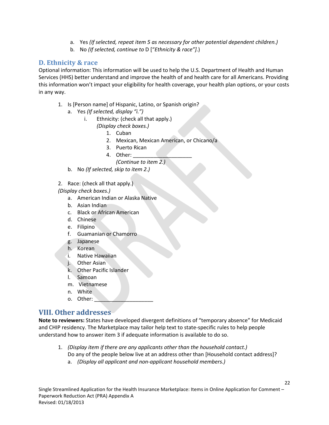- a. Yes *(If selected, repeat item 5 as necessary for other potential dependent children.)*
- b. No *(If selected, continue to* D ["*Ethnicity & race"].*)

#### **D. Ethnicity & race**

Optional information: This information will be used to help the U.S. Department of Health and Human Services (HHS) better understand and improve the health of and health care for all Americans. Providing this information won't impact your eligibility for health coverage, your health plan options, or your costs in any way.

- 1. Is [Person name] of Hispanic, Latino, or Spanish origin?
	- a. Yes *(If selected, display "i.")*
		- i. Ethnicity: (check all that apply.)

*(Display check boxes.)*

- 1. Cuban
- 2. Mexican, Mexican American, or Chicano/a
- 3. Puerto Rican
- 4. Other:

*(Continue to item 2.)*

- b. No *(If selected, skip to item 2.)*
- 2. Race: (check all that apply.)

*(Display check boxes.)*

- a. American Indian or Alaska Native
- b. Asian Indian
- c. Black or African American
- d. Chinese
- e. Filipino
- f. Guamanian or Chamorro
- g. Japanese
- h. Korean
- i. Native Hawaiian
- j. Other Asian
- k. Other Pacific Islander
- l. Samoan
- m. Vietnamese
- n. White
- o. Other:

### **VIII. Other addresses**

**Note to reviewers:** States have developed divergent definitions of "temporary absence" for Medicaid and CHIP residency. The Marketplace may tailor help text to state-specific rules to help people understand how to answer item 3 if adequate information is available to do so.

1. *(Display item if there are any applicants other than the household contact.)* Do any of the people below live at an address other than [Household contact address]? a. *(Display all applicant and non-applicant household members.)*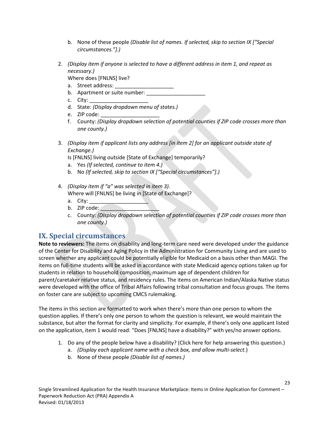- b. None of these people *(Disable list of names. If selected, skip to section IX ["Special circumstances."].)*
- 2. *(Display item if anyone is selected to have a different address in item 1, and repeat as necessary.)*
	- Where does [FNLNS] live?
	- a. Street address:
	- b. Apartment or suite number:
	- c. City:
	- d. State: *(Display dropdown menu of states.)*
	- e. ZIP code:
	- f. County: *(Display dropdown selection of potential counties if ZIP code crosses more than one county.)*
- 3. *(Display item if applicant lists any address [in item 2] for an applicant outside state of Exchange.)*
	- Is [FNLNS] living outside [State of Exchange] temporarily?
	- a. Yes *(If selected, continue to item 4.)*
	- b. No *(If selected, skip to section IX ["Special circumstances"].)*
- 4. *(Display item if "a" was selected in item 3).*

Where will [FNLNS] be living in [State of Exchange]?

- a. City:  $\overline{\phantom{a}}$
- $b.$  ZIP code:
- c. County: *(Display dropdown selection of potential counties if ZIP code crosses more than one county.)*

## **IX. Special circumstances**

**Note to reviewers:** The items on disability and long-term care need were developed under the guidance of the Center for Disability and Aging Policy in the Administration for Community Living and are used to screen whether any applicant could be potentially eligible for Medicaid on a basis other than MAGI. The items on full-time students will be asked in accordance with state Medicaid agency options taken up for students in relation to household composition, maximum age of dependent children for

parent/caretaker relative status, and residency rules. The items on American Indian/Alaska Native status were developed with the office of Tribal Affairs following tribal consultation and focus groups. The items on foster care are subject to upcoming CMCS rulemaking.

The items in this section are formatted to work when there's more than one person to whom the question applies. If there's only one person to whom the question is relevant, we would maintain the substance, but alter the format for clarity and simplicity. For example, if there's only one applicant listed on the application, item 1 would read: "Does [FNLNS] have a disability?" with yes/no answer options.

- 1. Do any of the people below have a disability? (Click here for help answering this question.)
	- a. *(Display each applicant name with a check box, and allow multi-select.*)
	- b. None of these people *(Disable list of names.)*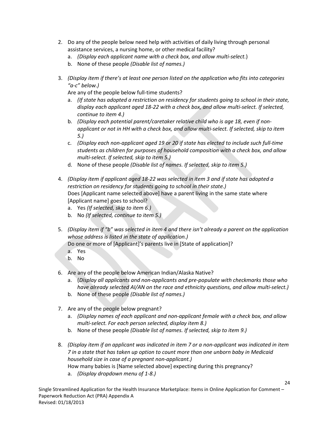- 2. Do any of the people below need help with activities of daily living through personal assistance services, a nursing home, or other medical facility?
	- a. *(Display each applicant name with a check box, and allow multi-select.*)
	- b. None of these people *(Disable list of names.)*
- 3. *(Display item if there's at least one person listed on the application who fits into categories "a-c" below.)*

Are any of the people below full-time students?

- a. *(If state has adopted a restriction on residency for students going to school in their state, display each applicant aged 18-22 with a check box, and allow multi-select. If selected, continue to item 4.)*
- b. *(Display each potential parent/caretaker relative child who is age 18, even if nonapplicant or not in HH with a check box, and allow multi-select. If selected, skip to item 5.)*
- c. *(Display each non-applicant aged 19 or 20 if state has elected to include such full-time students as children for purposes of household composition with a check box, and allow multi-select. If selected, skip to item 5.)*
- d. None of these people *(Disable list of names. If selected, skip to item 5.)*
- 4. *(Display item if applicant aged 18-22 was selected in item 3 and if state has adopted a restriction on residency for students going to school in their state.)* Does [Applicant name selected above] have a parent living in the same state where [Applicant name] goes to school?
	- a. Yes *(If selected, skip to item 6.)*
	- b. No *(If selected, continue to item 5.)*
- 5. *(Display item if "b" was selected in item 4 and there isn't already a parent on the application whose address is listed in the state of application.)*

Do one or more of [Applicant]'s parents live in [State of application]?

- a. Yes
- b. No
- 6. Are any of the people below American Indian/Alaska Native?
	- a. (*Display all applicants and non-applicants and pre-populate with checkmarks those who have already selected AI/AN on the race and ethnicity questions, and allow multi-select.)*
	- b. None of these people *(Disable list of names.)*
- 7. Are any of the people below pregnant?
	- a. *(Display names of each applicant and non-applicant female with a check box, and allow multi-select. For each person selected, display item 8.)*
	- b. None of these people *(Disable list of names. If selected, skip to item 9.)*
- 8. *(Display item if an applicant was indicated in item 7 or a non-applicant was indicated in item 7 in a state that has taken up option to count more than one unborn baby in Medicaid household size in case of a pregnant non-applicant.)* How many babies is [Name selected above] expecting during this pregnancy?
	- a. *(Display dropdown menu of 1-8.)*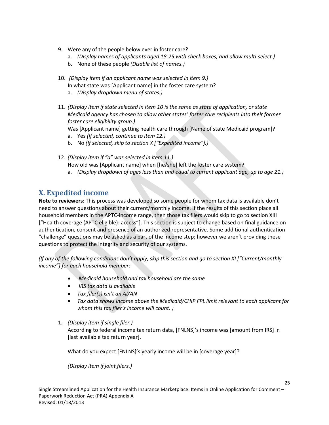- 9. Were any of the people below ever in foster care?
	- a. *(Display names of applicants aged 18-25 with check boxes, and allow multi-select.)*
	- b. None of these people *(Disable list of names.)*
- 10. *(Display item if an applicant name was selected in item 9.)* In what state was [Applicant name] in the foster care system?
	- a. *(Display dropdown menu of states.)*
- 11. *(Display item if state selected in item 10 is the same as state of application, or state Medicaid agency has chosen to allow other states' foster care recipients into their former foster care eligibility group.)*

Was [Applicant name] getting health care through [Name of state Medicaid program]?

- a. Yes *(If selected, continue to item 12.)*
- b. No *(If selected, skip to section X ["Expedited income"].)*
- 12. *(Display item if "a" was selected in item 11.)* How old was [Applicant name] when [he/she] left the foster care system?
	- a. *(Display dropdown of ages less than and equal to current applicant age, up to age 21.)*

## **X. Expedited income**

**Note to reviewers:** This process was developed so some people for whom tax data is available don't need to answer questions about their current/monthly income. If the results of this section place all household members in the APTC-income range, then those tax filers would skip to go to section XIII ["Health coverage (APTC eligible): access"]. This section is subject to change based on final guidance on authentication, consent and presence of an authorized representative. Some additional authentication "challenge" questions may be asked as a part of the Income step; however we aren't providing these questions to protect the integrity and security of our systems.

*(If any of the following conditions don't apply, skip this section and go to section XI ["Current/monthly income"] for each household member:*

- *Medicaid household and tax household are the same*
- *IRS tax data is available*
- *Tax filer(s) isn't an AI/AN*
- *Tax data shows income above the Medicaid/CHIP FPL limit relevant to each applicant for whom this tax filer's income will count. )*
- 1. *(Display item if single filer.)*

According to federal income tax return data, [FNLNS]'s income was [amount from IRS] in [last available tax return year].

25

What do you expect [FNLNS]'s yearly income will be in [coverage year]?

*(Display item if joint filers.)*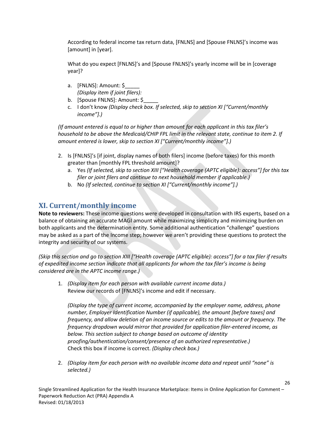According to federal income tax return data, [FNLNS] and [Spouse FNLNS]'s income was [amount] in [year].

What do you expect [FNLNS]'s and [Spouse FNLNS]'s yearly income will be in [coverage year]?

- a. [FNLNS]: Amount: \$ *(Display item if joint filers):*
- b. [Spouse FNLNS]: Amount: \$
- c. I don't know *(Display check box. If selected, skip to section XI ["Current/monthly income"].)*

*(If amount entered is equal to or higher than amount for each applicant in this tax filer's household to be above the Medicaid/CHIP FPL limit in the relevant state, continue to item 2. If amount entered is lower, skip to section XI ["Current/monthly income"].)*

- 2. Is [FNLNS]'s [if joint, display names of both filers] income (before taxes) for this month greater than [monthly FPL threshold amount]?
	- a. Yes *(If selected, skip to section XIII ["Health coverage (APTC eligible): access"] for this tax filer or joint filers and continue to next household member if applicable.)*
	- b. No *(If selected, continue to section XI ["Current/monthly income"].)*

# **XI. Current/monthly income**

**Note to reviewers:** These income questions were developed in consultation with IRS experts, based on a balance of obtaining an accurate MAGI amount while maximizing simplicity and minimizing burden on both applicants and the determination entity. Some additional authentication "challenge" questions may be asked as a part of the Income step; however we aren't providing these questions to protect the integrity and security of our systems.

*(Skip this section and go to section XIII ["Health coverage (APTC eligible): access"] for a tax filer if results of expedited income section indicate that all applicants for whom the tax filer's income is being considered are in the APTC income range.)*

1. *(Display item for each person with available current income data.)* Review our records of [FNLNS]'s income and edit if necessary.

*(Display the type of current income, accompanied by the employer name, address, phone number, Employer Identification Number (if applicable), the amount [before taxes] and frequency, and allow deletion of an income source or edits to the amount or frequency. The frequency dropdown would mirror that provided for application filer-entered income, as below. This section subject to change based on outcome of identity proofing/authentication/consent/presence of an authorized representative.)* Check this box if income is correct. *(Display check box.)*

26

2. *(Display item for each person with no available income data and repeat until "none" is selected.)*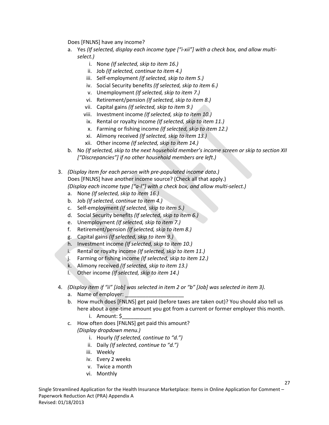Does [FNLNS] have any income?

- a. Yes *(If selected, display each income type ["i-xii"] with a check box, and allow multiselect.)*
	- i. None *(If selected, skip to item 16.)*
	- ii. Job *(If selected, continue to item 4.)*
	- iii. Self-employment *(If selected, skip to item 5.)*
	- iv. Social Security benefits *(If selected, skip to item 6.)*
	- v. Unemployment *(If selected, skip to item 7.)*
	- vi. Retirement/pension *(If selected, skip to item 8.)*
	- vii. Capital gains *(If selected, skip to item 9.)*
	- viii. Investment income *(If selected, skip to item 10.)*
	- ix. Rental or royalty income *(If selected, skip to item 11.)*
	- x. Farming or fishing income *(If selected, skip to item 12.)*
	- xi. Alimony received *(If selected, skip to item 13.)*
	- xii. Other income *(If selected, skip to item 14.)*
- b. No *(If selected, skip to the next household member's income screen or skip to section XII ["Discrepancies"] if no other household members are left.)*
- 3. *(Display item for each person with pre-populated income data.)* Does [FNLNS] have another income source? (Check all that apply.) *(Display each income type ["a-l"] with a check box, and allow multi-select.)* 
	- a. None *(If selected, skip to item 16.)*
	- b. Job *(If selected, continue to item 4.)*
	- c. Self-employment *(If selected, skip to item 5.)*
	- d. Social Security benefits *(If selected, skip to item 6.)*
	- e. Unemployment *(If selected, skip to item 7.)*
	- f. Retirement/pension *(If selected, skip to item 8.)*
	- g. Capital gains *(If selected, skip to item 9.)*
	- h. Investment income *(If selected, skip to item 10.)*
	- i. Rental or royalty income *(If selected, skip to item 11.)*
	- j. Farming or fishing income *(If selected, skip to item 12.)*
	- k. Alimony received *(If selected, skip to item 13.)*
	- l. Other income *(If selected, skip to item 14.)*
- 4. *(Display item if "ii" [Job] was selected in item 2 or "b" [Job] was selected in item 3).*
	- a. Name of employer:
	- b. How much does [FNLNS] get paid (before taxes are taken out)? You should also tell us here about a one-time amount you got from a current or former employer this month.
		- i. Amount: \$\_\_\_\_\_\_\_\_\_\_
	- c. How often does [FNLNS] get paid this amount? *(Display dropdown menu.)*
		- i. Hourly *(If selected, continue to "d.")*
		- ii. Daily *(If selected, continue to "d.")*
		- iii. Weekly
		- iv. Every 2 weeks
		- v. Twice a month
		- vi. Monthly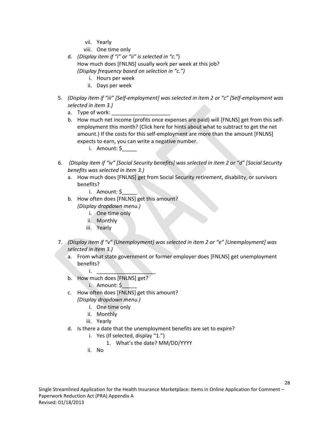- vii. Yearly
- viii. One time only
- d. *(Display item if "i" or "ii" is selected in "c."*) How much does [FNLNS] usually work per week at this job? *(Display frequency based on selection in "c.")*
	- i. Hours per week
	- ii. Days per week
- 5. *(Display item if "iii" [Self-employment] was selected in item 2 or "c" [Self-employment was selected in item 3.)*
	- a. Type of work:
	- b. How much net income (profits once expenses are paid) will [FNLNS] get from this selfemployment this month? (Click here for hints about what to subtract to get the net amount.) If the costs for this self-employment are more than the amount [FNLNS] expects to earn, you can write a negative number.
		- i. Amount: \$\_\_\_\_\_
- 6. *(Display item if "iv" [Social Security benefits] was selected in item 2 or "d" [Social Security benefits was selected in item 3.)*
	- a. How much does [FNLNS] get from Social Security retirement, disability, or survivors benefits?
		- i. Amount: \$\_\_\_\_\_
	- b. How often does [FNLNS] get this amount? *(Display dropdown menu.)*
		- i. One time only
		- ii. Monthly
		- iii. Yearly
- 7. *(Display item if "v" [Unemployment] was selected in item 2 or "e" [Unemployment] was selected in item 3.)*
	- a. From what state government or former employer does [FNLNS] get unemployment benefits?
	- $i.$ b. How much does [FNLNS] get?
		- i. Amount: \$\_\_\_\_\_
	- c. How often does [FNLNS] get this amount?
		- *(Display dropdown menu.)*
			- i. One time only
			- ii. Monthly
			- iii. Yearly
	- d. Is there a date that the unemployment benefits are set to expire?
		- i. Yes (If selected, display "1.")
			- 1. What's the date? MM/DD/YYYY
		- ii. No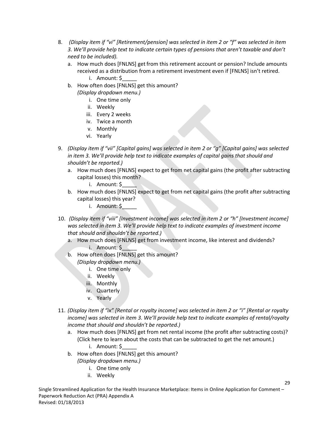- 8. *(Display item if "vi" [Retirement/pension] was selected in item 2 or "f" was selected in item 3. We'll provide help text to indicate certain types of pensions that aren't taxable and don't need to be included).*
	- a. How much does [FNLNS] get from this retirement account or pension? Include amounts received as a distribution from a retirement investment even if [FNLNS] isn't retired. i. Amount: \$\_\_\_\_\_
	- b. How often does [FNLNS] get this amount?
		- *(Display dropdown menu.)*
			- i. One time only
			- ii. Weekly
			- iii. Every 2 weeks
			- iv. Twice a month
			- v. Monthly
			- vi. Yearly
- 9. *(Display item if "vii" [Capital gains] was selected in item 2 or "g" [Capital gains] was selected in item 3. We'll provide help text to indicate examples of capital gains that should and shouldn't be reported.)*
	- a. How much does [FNLNS] expect to get from net capital gains (the profit after subtracting capital losses) this month?
		- i. Amount: \$\_\_\_\_\_
	- b. How much does [FNLNS] expect to get from net capital gains (the profit after subtracting capital losses) this year?
		- i. Amount: \$\_\_\_\_\_
- 10. *(Display item if "viii" [Investment income] was selected in item 2 or "h" [Investment income] was selected in item 3. We'll provide help text to indicate examples of investment income that should and shouldn't be reported.)*
	- a. How much does [FNLNS] get from investment income, like interest and dividends? i. Amount: \$\_\_\_\_\_
	- b. How often does [FNLNS] get this amount?
		- *(Display dropdown menu.)*
			- i. One time only
			- ii. Weekly
			- iii. Monthly
			- iv. Quarterly
			- v. Yearly
- 11. *(Display item if "ix" [Rental or royalty income] was selected in item 2 or "i" [Rental or royalty income] was selected in item 3. We'll provide help text to indicate examples of rental/royalty income that should and shouldn't be reported.)* 
	- a. How much does [FNLNS] get from net rental income (the profit after subtracting costs)? (Click here to learn about the costs that can be subtracted to get the net amount.) i. Amount: \$\_\_\_\_\_
	- b. How often does [FNLNS] get this amount?
		- *(Display dropdown menu.)*
			- i. One time only
			- ii. Weekly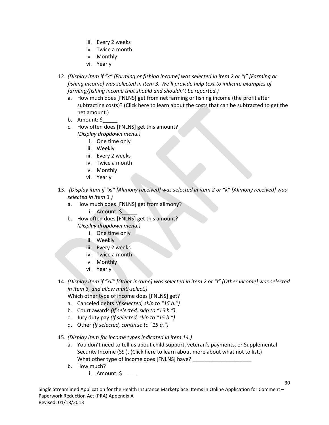- iii. Every 2 weeks
- iv. Twice a month
- v. Monthly
- vi. Yearly
- 12. *(Display item if "x" [Farming or fishing income] was selected in item 2 or "j" [Farming or fishing income] was selected in item 3. We'll provide help text to indicate examples of farming/fishing income that should and shouldn't be reported.)* 
	- a. How much does [FNLNS] get from net farming or fishing income (the profit after subtracting costs)? (Click here to learn about the costs that can be subtracted to get the net amount.)
	- b. Amount: \$\_\_\_\_\_
	- c. How often does [FNLNS] get this amount? *(Display dropdown menu.)*
		- i. One time only
		- ii. Weekly
		- iii. Every 2 weeks
		- iv. Twice a month
		- v. Monthly
		- vi. Yearly
- 13. *(Display item if "xi" [Alimony received] was selected in item 2 or "k" [Alimony received] was selected in item 3.)* 
	- a. How much does [FNLNS] get from alimony?
		- i. Amount:  $\zeta$
	- b. How often does [FNLNS] get this amount? *(Display dropdown menu.)*
		- i. One time only
		- ii. Weekly
		- iii. Every 2 weeks
		- iv. Twice a month
		- v. Monthly
		- vi. Yearly
- 14. *(Display item if "xii" [Other income] was selected in item 2 or "l" [Other income] was selected in item 3, and allow multi-select.)*

Which other type of income does [FNLNS] get?

- a. Canceled debts *(If selected, skip to "15 b.")*
- b. Court awards *(If selected, skip to "15 b.")*
- c. Jury duty pay *(If selected, skip to "15 b.")*
- d. Other *(If selected, continue to "15 a.")*
- 15. *(Display item for income types indicated in item 14.)*
	- a. You don't need to tell us about child support, veteran's payments, or Supplemental Security Income (SSI). (Click here to learn about more about what not to list.) What other type of income does [FNLNS] have?

- b. How much?
	- i. Amount: \$\_\_\_\_\_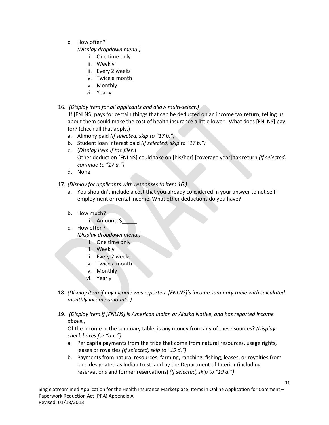c. How often?

*(Display dropdown menu.)*

- i. One time only
- ii. Weekly
- iii. Every 2 weeks
- iv. Twice a month
- v. Monthly
- vi. Yearly
- 16. *(Display item for all applicants and allow multi-select.)*

If [FNLNS] pays for certain things that can be deducted on an income tax return, telling us about them could make the cost of health insurance a little lower. What does [FNLNS] pay for? (check all that apply.)

- a. Alimony paid *(If selected, skip to "17 b.")*
- b. Student loan interest paid *(If selected, skip to "17 b.")*
- c. (*Display item if tax filer.*) Other deduction [FNLNS] could take on [his/her] [coverage year] tax return *(If selected, continue to "17 a.")*
- d. None
- 17. *(Display for applicants with responses to item 16.)*
	- a. You shouldn't include a cost that you already considered in your answer to net selfemployment or rental income. What other deductions do you have?
	- $\overline{\phantom{a}}$  , where  $\overline{\phantom{a}}$  , where  $\overline{\phantom{a}}$ b. How much?
		- i. Amount: \$
	- c. How often?

*(Display dropdown menu.)*

- i. One time only
- ii. Weekly
- iii. Every 2 weeks
- iv. Twice a month
- v. Monthly
- vi. Yearly
- 18. *(Display item if any income was reported: [FNLNS]'s income summary table with calculated monthly income amounts.)*
- 19. *(Display item if [FNLNS] is American Indian or Alaska Native, and has reported income above.)*

Of the income in the summary table, is any money from any of these sources? *(Display check boxes for "a-c.")*

- a. Per capita payments from the tribe that come from natural resources, usage rights, leases or royalties *(If selected, skip to "19 d.")*
- b. Payments from natural resources, farming, ranching, fishing, leases, or royalties from land designated as Indian trust land by the Department of Interior (including reservations and former reservations) *(If selected, skip to "19 d.")*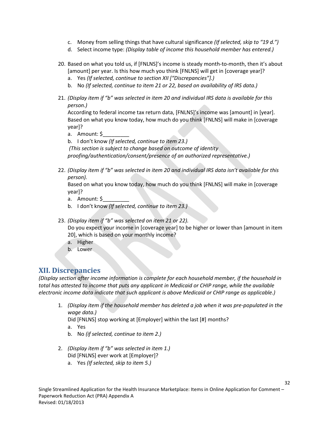- c. Money from selling things that have cultural significance *(If selected, skip to "19 d.")*
- d. Select income type: *(Display table of income this household member has entered.)*
- 20. Based on what you told us, if [FNLNS]'s income is steady month-to-month, then it's about [amount] per year. Is this how much you think [FNLNS] will get in [coverage year]?
	- a. Yes *(If selected, continue to section XII ["Discrepancies"].)*
	- b. No *(If selected, continue to item 21 or 22, based on availability of IRS data.)*
- 21. *(Display item if "b" was selected in item 20 and individual IRS data is available for this person.)*

According to federal income tax return data, [FNLNS]'s income was [amount] in [year]. Based on what you know today, how much do you think [FNLNS] will make in [coverage year]?

- a. Amount: \$\_\_\_\_\_\_\_\_\_
- b. I don't know *(If selected, continue to item 23.)*

*(This section is subject to change based on outcome of identity* 

*proofing/authentication/consent/presence of an authorized representative.)*

22. *(Display item if "b" was selected in item 20 and individual IRS data isn't available for this person).* 

Based on what you know today, how much do you think [FNLNS] will make in [coverage year]?

- a. Amount: \$
- b. I don't know *(If selected, continue to item 23.)*
- 23. *(Display item if "b" was selected on item 21 or 22).*

Do you expect your income in [coverage year] to be higher or lower than [amount in item 20], which is based on your monthly income?

- a. Higher
- b. Lower

## **XII. Discrepancies**

*(Display section after income information is complete for each household member, if the household in total has attested to income that puts any applicant in Medicaid or CHIP range, while the available electronic income data indicate that such applicant is above Medicaid or CHIP range as applicable.)*

1. *(Display item if the household member has deleted a job when it was pre-populated in the wage data.)*

Did [FNLNS] stop working at [Employer] within the last [#] months?

- a. Yes
- b. No *(if selected, continue to item 2.)*
- 2. *(Display item if "b" was selected in item 1.)* Did [FNLNS] ever work at [Employer]?
	- a. Yes *(If selected, skip to item 5.)*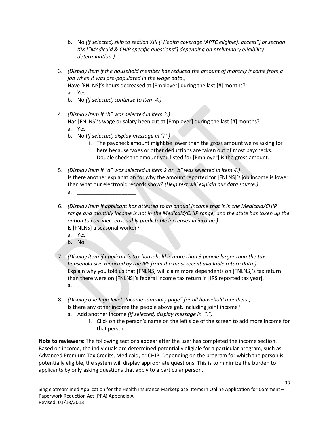- b. No *(If selected, skip to section XIII ["Health coverage (APTC eligible): access"] or section XIX ["Medicaid & CHIP specific questions"] depending on preliminary eligibility determination.)*
- 3. *(Display item if the household member has reduced the amount of monthly income from a job when it was pre-populated in the wage data.)*

Have [FNLNS]'s hours decreased at [Employer] during the last [#] months?

- a. Yes
- b. No *(If selected, continue to item 4.)*
- 4. *(Display item if "b" was selected in item 3.)*
	- Has [FNLNS]'s wage or salary been cut at [Employer] during the last [#] months?
	- a. Yes
	- b. No (*If selected, display message in "i.")*
		- i. The paycheck amount might be lower than the gross amount we're asking for here because taxes or other deductions are taken out of most paychecks. Double check the amount you listed for [Employer] is the gross amount.
- 5. *(Display item if "a" was selected in item 2 or "b" was selected in item 4.)* Is there another explanation for why the amount reported for [FNLNS]'s job income is lower than what our electronic records show? *(Help text will explain our data source.)* a. <u>\_\_\_\_\_\_\_\_\_\_\_\_\_\_\_\_\_\_\_\_\_</u>\_\_\_\_\_\_\_
- 6. *(Display item if applicant has attested to an annual income that is in the Medicaid/CHIP range and monthly income is not in the Medicaid/CHIP range, and the state has taken up the option to consider reasonably predictable increases in income.)* Is [FNLNS] a seasonal worker?
	- a. Yes
	- b. No
- 7. *(Display item if applicant's tax household is more than 3 people larger than the tax household size reported by the IRS from the most recent available return data.)* Explain why you told us that [FNLNS] will claim more dependents on [FNLNS]'s tax return than there were on [FNLNS]'s federal income tax return in [IRS reported tax year]. a. <u>\_\_\_\_\_\_\_\_\_\_\_\_\_\_\_\_\_\_\_\_\_\_\_\_\_\_</u>
- 8. *(Display one high-level "Income summary page" for all household members.)* Is there any other income the people above get, including joint income?
	- a. Add another income *(If selected, display message in "i.")*
		- i. Click on the person's name on the left side of the screen to add more income for that person.

**Note to reviewers:** The following sections appear after the user has completed the income section. Based on income, the individuals are determined potentially eligible for a particular program, such as Advanced Premium Tax Credits, Medicaid, or CHIP. Depending on the program for which the person is potentially eligible, the system will display appropriate questions. This is to minimize the burden to applicants by only asking questions that apply to a particular person.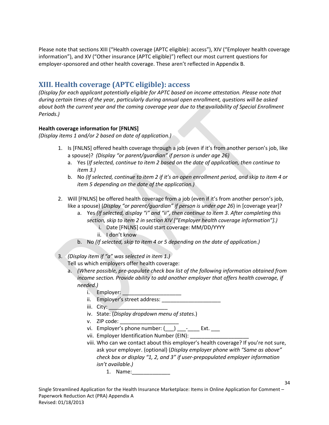Please note that sections XIII ("Health coverage (APTC eligible): access"), XIV ("Employer health coverage information"), and XV ("Other insurance (APTC eligible)") reflect our most current questions for employer-sponsored and other health coverage. These aren't reflected in Appendix B.

# **XIII. Health coverage (APTC eligible): access**

*(Display for each applicant potentially eligible for APTC based on income attestation. Please note that during certain times of the year, particularly during annual open enrollment, questions will be asked about both the current year and the coming coverage year due to the availability of Special Enrollment Periods.)*

#### **Health coverage information for [FNLNS]**

*(Display items 1 and/or 2 based on date of application.)*

- 1. Is [FNLNS] offered health coverage through a job (even if it's from another person's job, like a spouse)? *(Display "or parent/guardian" if person is under age 26)* 
	- a. Yes (*If selected, continue to item 2 based on the date of application, then continue to item 3.)*
	- b. No *(If selected, continue to item 2 if it's an open enrollment period, and skip to item 4 or item 5 depending on the date of the application.)*
- 2. Will [FNLNS] be offered health coverage from a job (even if it's from another person's job, like a spouse) (*Display "or parent/guardian" if person is under age 26*) in [coverage year]?
	- a. Yes *(If selected, display "i" and "ii", then continue to item 3. After completing this section, skip to item 2 in section XIV ["Employer health coverage information"].)*
		- i. Date [FNLNS] could start coverage: MM/DD/YYYY
		- ii. I don't know
	- b. No *(If selected, skip to item 4 or 5 depending on the date of application.)*
- 3. *(Display item if "a" was selected in item 1.)*

Tell us which employers offer health coverage:

- a. *(Where possible, pre-populate check box list of the following information obtained from income section. Provide ability to add another employer that offers health coverage, if needed.)*
	- i. Employer:
	- ii. Employer's street address:
	- iii. City:
	- iv. State: (*Display dropdown menu of states*.)
	- v. ZIP code:
	- vi. Employer's phone number:  $($   $)$   $-$  Ext.
	- vii. Employer Identification Number (EIN):
	- viii. Who can we contact about this employer's health coverage? If you're not sure, ask your employer. (optional) (*Display employer phone with "Same as above" check box or display "1, 2, and 3" if user-prepopulated employer information isn't available.)*
		- 1. Name: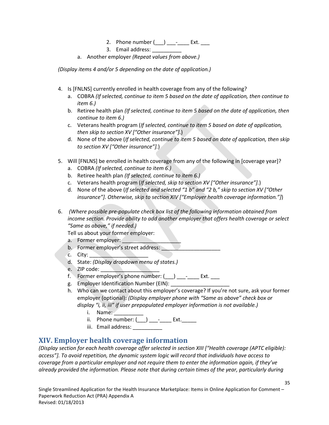- 2. Phone number  $(\_\_) \_\_\_$ - $\_\_$  Ext.  $\_\_$
- 3. Email address:
- a. Another employer *(Repeat values from above.)*

*(Display items 4 and/or 5 depending on the date of application.)*

- 4. Is [FNLNS] currently enrolled in health coverage from any of the following?
	- a. COBRA *(If selected, continue to item 5 based on the date of application, then continue to item 6.)*
	- b. Retiree health plan *(If selected, continue to item 5 based on the date of application, then continue to item 6.)*
	- c. Veterans health program (*If selected, continue to item 5 based on date of application, then skip to section XV ["Other insurance"].*)
	- d. None of the above (*If selected, continue to item 5 based on date of application, then skip to section XV ["Other insurance"].*)
- 5. Will [FNLNS] be enrolled in health coverage from any of the following in [coverage year]?
	- a. COBRA *(If selected, continue to item 6.)*
	- b. Retiree health plan *(If selected, continue to item 6.)*
	- c. Veterans health program (*If selected, skip to section XV ["Other insurance"].*)
	- d. None of the above (*If selected and selected "1 b" and "2 b," skip to section XV ["Other insurance"]. Otherwise, skip to section XIV ["Employer health coverage information."]*)

6. *(Where possible pre-populate check box list of the following information obtained from income section. Provide ability to add another employer that offers health coverage or select "Same as above," if needed.)*

Tell us about your former employer:

- a. Former employer: \_\_\_\_\_\_\_\_\_\_\_\_\_\_\_\_\_\_\_\_
- b. Former employer's street address:
- c. City:
- d. State: *(Display dropdown menu of states.)*
- e. ZIP code: \_\_\_\_\_\_\_\_\_\_\_\_\_\_\_\_\_\_\_\_
- f. Former employer's phone number:  $(\_\_\_\_\_\_\_\_$
- g. Employer Identification Number (EIN):
- h. Who can we contact about this employer's coverage? If you're not sure, ask your former employer (optional): *(Display employer phone with "Same as above" check box or display "i, ii, iii" if user prepopulated employer information is not available.)*
	- i. Name:
	- ii. Phone number:  $(\_\_) \_\_\_$ - $\_\_$  Ext.
	- iii. Email address: \_\_\_\_\_\_\_\_\_\_\_

## **XIV. Employer health coverage information**

*(Display section for each health coverage offer selected in section XIII ["Health coverage (APTC eligible): access"]. To avoid repetition, the dynamic system logic will record that individuals have access to coverage from a particular employer and not require them to enter the information again, if they've already provided the information. Please note that during certain times of the year, particularly during*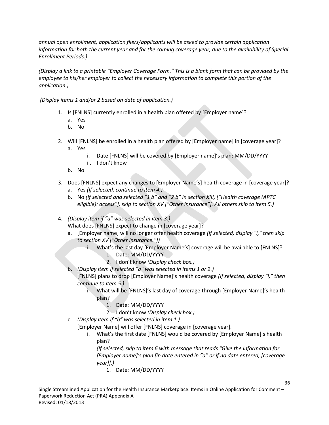*annual open enrollment, application filers/applicants will be asked to provide certain application information for both the current year and for the coming coverage year, due to the availability of Special Enrollment Periods.)*

*(Display a link to a printable "Employer Coverage Form." This is a blank form that can be provided by the employee to his/her employer to collect the necessary information to complete this portion of the application.)*

*(Display items 1 and/or 2 based on date of application.)*

- 1. Is [FNLNS] currently enrolled in a health plan offered by [Employer name]?
	- a. Yes
	- b. No
- 2. Will [FNLNS] be enrolled in a health plan offered by [Employer name] in [coverage year]?
	- a. Yes
		- i. Date [FNLNS] will be covered by [Employer name]'s plan: MM/DD/YYYY
		- ii. I don't know
	- b. No
- 3. Does [FNLNS] expect any changes to [Employer Name's] health coverage in [coverage year]?
	- a. Yes *(If selected, continue to item 4.)*
	- b. No *(If selected and selected "1 b" and "2 b" in section XIII, ["Health coverage (APTC eligible): access"], skip to section XV ["Other insurance"]. All others skip to item 5.)*
- 4. *(Display item if "a" was selected in item 3.)*

What does [FNLNS] expect to change in [coverage year]?

- a. [Employer name] will no longer offer health coverage *(If selected, display "i," then skip to section XV ["Other insurance."])*
	- i. What's the last day [Employer Name's] coverage will be available to [FNLNS]?
		- 1. Date: MM/DD/YYYY
		- 2. I don't know *(Display check box.)*
- b. *(Display item if selected "a" was selected in items 1 or 2.)*

[FNLNS] plans to drop [Employer Name]'s health coverage *(If selected, display "i," then continue to item 5.)* 

- i. What will be [FNLNS]'s last day of coverage through [Employer Name]'s health plan?
	- 1. Date: MM/DD/YYYY
	- 2. I don't know *(Display check box.)*
- c. *(Display item if "b" was selected in item 1.)*

[Employer Name] will offer [FNLNS] coverage in [coverage year].

i. What's the first date [FNLNS] would be covered by [Employer Name]'s health plan?

*(If selected, skip to item 6 with message that reads "Give the information for [Employer name]'s plan [in date entered in "a" or if no date entered, [coverage year]].)*

1. Date: MM/DD/YYYY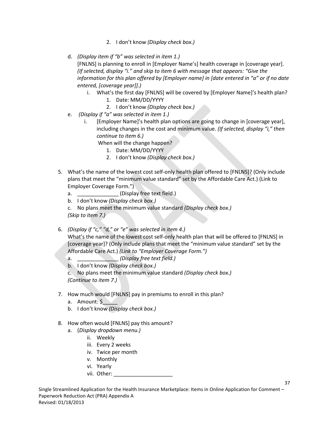- 2. I don't know *(Display check box.)*
- d. *(Display item if "b" was selected in item 1.)*

[FNLNS] is planning to enroll in [Employer Name's] health coverage in [coverage year]. *(If selected, display "i." and skip to item 6 with message that appears: "Give the information for this plan offered by [Employer name] in [date entered in "a" or if no date entered, [coverage year]].)*

- i. What's the first day [FNLNS] will be covered by [Employer Name]'s health plan?
	- 1. Date: MM/DD/YYYY
	- 2. I don't know *(Display check box.)*
- e. *(Display if "a" was selected in item 1.)*
	- i. [Employer Name]'s health plan options are going to change in [coverage year], including changes in the cost and minimum value. *(If selected, display "i," then continue to item 6.)*

When will the change happen?

- 1. Date: MM/DD/YYYY
- 2. I don't know *(Display check box.)*
- 5. What's the name of the lowest cost self-only health plan offered to [FNLNS]? (Only include plans that meet the "minimum value standard" set by the Affordable Care Act.) (Link to Employer Coverage Form.")
	- a.  $(Display free text field.)$
	- b. I don't know *(Display check box.)*
	- c. No plans meet the minimum value standard *(Display check box.) (Skip to item 7.)*
- 6. *(Display if "c," "d," or "e" was selected in item 4.)*

What's the name of the lowest cost self-only health plan that will be offered to [FNLNS] in [coverage year]? (Only include plans that meet the "minimum value standard" set by the Affordable Care Act.) *(Link to "Employer Coverage Form.")*

- a. \_\_\_\_\_\_\_\_\_\_\_\_\_\_ *(Display free text field.)*
- b. I don't know *(Display check box.)*

c. No plans meet the minimum value standard *(Display check box.) (Continue to item 7.)*

- 7. How much would [FNLNS] pay in premiums to enroll in this plan?
	- a. Amount: \$
	- b. I don't know *(Display check box.)*
- 8. How often would [FNLNS] pay this amount?
	- a. (*Display dropdown menu.)*
		- ii. Weekly
		- iii. Every 2 weeks
		- iv. Twice per month
		- v. Monthly
		- vi. Yearly
		- vii. Other: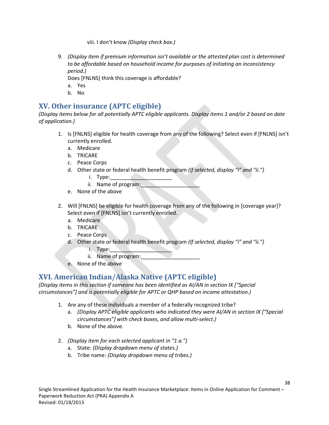viii. I don't know *(Display check box.)*

9. *(Display item if premium information isn't available or the attested plan cost is determined to be affordable based on household income for purposes of initiating an inconsistency period.)*

Does [FNLNS] think this coverage is affordable?

- a. Yes
- b. No

## **XV. Other insurance (APTC eligible)**

*(Display items below for all potentially APTC eligible applicants. Display items 1 and/or 2 based on date of application.)*

- 1. Is [FNLNS] eligible for health coverage from any of the following? Select even if [FNLNS] isn't currently enrolled.
	- a. Medicare
	- b. TRICARE
	- c. Peace Corps
	- d. Other state or federal health benefit program *(If selected, display "i" and "ii.")*
		- $i.$  Type:  $\blacksquare$
		- ii. Name of program:
	- e. None of the above
- 2. Will [FNLNS] be eligible for health coverage from any of the following in [coverage year]? Select even if [FNLNS] isn't currently enrolled.
	- a. Medicare
	- b. TRICARE
	- c. Peace Corps
	- d. Other state or federal health benefit program *(If selected, display "i" and "ii.")*  $i.$  Type:  $\blacksquare$ 
		- ii. Name of program:
	- e. None of the above

## **XVI. American Indian/Alaska Native (APTC eligible)**

*(Display items in this section if someone has been identified as AI/AN in section IX ["Special circumstances"] and is potentially eligible for APTC or QHP based on income attestation.)*

- 1. Are any of these individuals a member of a federally recognized tribe?
	- a. *(Display APTC eligible applicants who indicated they were AI/AN in section IX ["Special circumstances"] with check boxes, and allow multi-select.)*
	- b. None of the above.
- 2. *(Display item for each selected applicant in "1 a.")*
	- a. State: *(Display dropdown menu of states.)*
	- b. Tribe name: *(Display dropdown menu of tribes.)*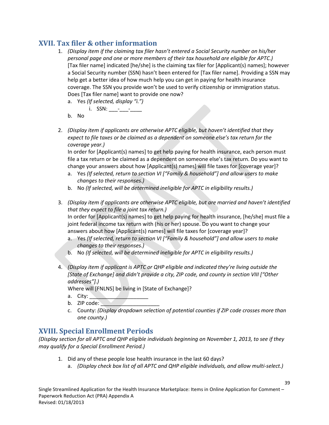## **XVII. Tax filer & other information**

- 1. *(Display item if the claiming tax filer hasn't entered a Social Security number on his/her personal page and one or more members of their tax household are eligible for APTC.)* [Tax filer name] indicated [he/she] is the claiming tax filer for [Applicant(s) names]; however a Social Security number (SSN) hasn't been entered for [Tax filer name]. Providing a SSN may help get a better idea of how much help you can get in paying for health insurance coverage. The SSN you provide won't be used to verify citizenship or immigration status. Does [Tax filer name] want to provide one now?
	- a. Yes *(If selected, display "i.")*
		- $i.$  SSN: \_\_\_-\_\_-\_\_\_\_\_\_
	- b. No
- 2. *(Display item if applicants are otherwise APTC eligible, but haven't identified that they expect to file taxes or be claimed as a dependent on someone else's tax return for the coverage year.)*

In order for [Applicant(s) names] to get help paying for health insurance, each person must file a tax return or be claimed as a dependent on someone else's tax return. Do you want to change your answers about how [Applicant(s) names] will file taxes for [coverage year]?

- a. Yes *(If selected, return to section VI ["Family & household"] and allow users to make changes to their responses.)*
- b. No *(If selected, will be determined ineligible for APTC in eligibility results.)*
- 3. *(Display item if applicants are otherwise APTC eligible, but are married and haven't identified that they expect to file a joint tax return.)* In order for [Applicant(s) names] to get help paying for health insurance, [he/she] must file a joint federal income tax return with (his or her) spouse. Do you want to change your answers about how [Applicant(s) names] will file taxes for [coverage year]?
	- a. Yes *(If selected, return to section VI ["Family & household"] and allow users to make changes to their responses.)*
	- b. No *(If selected, will be determined ineligible for APTC in eligibility results.)*
- 4. *(Display item if applicant is APTC or QHP eligible and indicated they're living outside the [State of Exchange] and didn't provide a city, ZIP code, and county in section VIII ["Other addresses"].)*

Where will [FNLNS] be living in [State of Exchange]?

- a. City:
- b.  $ZIP code:$
- c. County: *(Display dropdown selection of potential counties if ZIP code crosses more than one county.)*

# **XVIII. Special Enrollment Periods**

*(Display section for all APTC and QHP eligible individuals beginning on November 1, 2013, to see if they may qualify for a Special Enrollment Period.)*

- 1. Did any of these people lose health insurance in the last 60 days?
	- a. *(Display check box list of all APTC and QHP eligible individuals, and allow multi-select.)*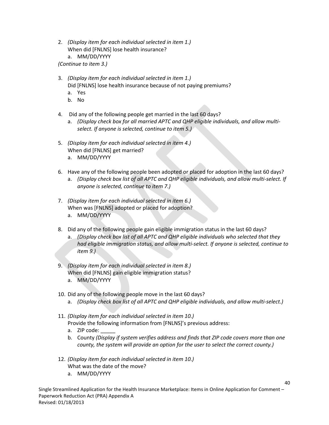2. *(Display item for each individual selected in item 1.)* When did [FNLNS] lose health insurance? a. MM/DD/YYYY

*(Continue to item 3.)*

- 3. *(Display item for each individual selected in item 1.)* Did [FNLNS] lose health insurance because of not paying premiums?
	- a. Yes
	- b. No
- 4. Did any of the following people get married in the last 60 days?
	- a. *(Display check box for all married APTC and QHP eligible individuals, and allow multiselect. If anyone is selected, continue to item 5.)*
- 5. *(Display item for each individual selected in item 4.)* When did [FNLNS] get married? a. MM/DD/YYYY
- 6. Have any of the following people been adopted or placed for adoption in the last 60 days?
	- a. *(Display check box list of all APTC and QHP eligible individuals, and allow multi-select. If anyone is selected, continue to item 7.)*
- 7. *(Display item for each individual selected in item 6.)* When was [FNLNS] adopted or placed for adoption?
	- a. MM/DD/YYYY
- 8. Did any of the following people gain eligible immigration status in the last 60 days?
	- a. *(Display check box list of all APTC and QHP eligible individuals who selected that they had eligible immigration status, and allow multi-select. If anyone is selected, continue to item 9.)*
- 9. *(Display item for each individual selected in item 8.)* When did [FNLNS] gain eligible immigration status?
	- a. MM/DD/YYYY
- 10. Did any of the following people move in the last 60 days?
	- a. *(Display check box list of all APTC and QHP eligible individuals, and allow multi-select.)*
- 11. *(Display item for each individual selected in item 10.)* Provide the following information from [FNLNS]'s previous address:
	- a. ZIP code:
	- b. County *(Display if system verifies address and finds that ZIP code covers more than one county, the system will provide an option for the user to select the correct county.)*

- 12. *(Display item for each individual selected in item 10.)* What was the date of the move?
	- a. MM/DD/YYYY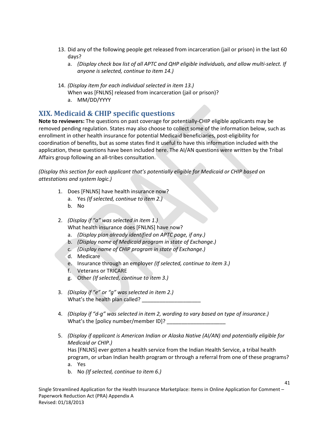- 13. Did any of the following people get released from incarceration (jail or prison) in the last 60 days?
	- a. *(Display check box list of all APTC and QHP eligible individuals, and allow multi-select. If anyone is selected, continue to item 14.)*
- 14. *(Display item for each individual selected in item 13.)* When was [FNLNS] released from incarceration (jail or prison)?
	- a. MM/DD/YYYY

# **XIX. Medicaid & CHIP specific questions**

**Note to reviewers:** The questions on past coverage for potentially-CHIP eligible applicants may be removed pending regulation. States may also choose to collect some of the information below, such as enrollment in other health insurance for potential Medicaid beneficiaries, post-eligibility for coordination of benefits, but as some states find it useful to have this information included with the application, these questions have been included here. The AI/AN questions were written by the Tribal Affairs group following an all-tribes consultation.

*(Display this section for each applicant that's potentially eligible for Medicaid or CHIP based on attestations and system logic.)*

- 1. Does [FNLNS] have health insurance now?
	- a. Yes *(If selected, continue to item 2.)*
	- b. No
- 2. *(Display if "a" was selected in item 1.)* What health insurance does [FNLNS] have now?
	- a. *(Display plan already identified on APTC page, if any.)*
	- b. *(Display name of Medicaid program in state of Exchange.)*
	- c. *(Display name of CHIP program in state of Exchange.)*
	- d. Medicare
	- e. Insurance through an employer *(If selected, continue to item 3.)*
	- f. Veterans or TRICARE
	- g. Other *(If selected, continue to item 3.)*
- 3. *(Display if "e" or "g" was selected in item 2.)* What's the health plan called?
- 4. *(Display if "d-g" was selected in item 2, wording to vary based on type of insurance.)* What's the [policy number/member ID]?
- 5. *(Display if applicant is American Indian or Alaska Native (AI/AN) and potentially eligible for Medicaid or CHIP.)* Has [FNLNS] ever gotten a health service from the Indian Health Service, a tribal health program, or urban Indian health program or through a referral from one of these programs? a. Yes

41

b. No *(If selected, continue to item 6.)*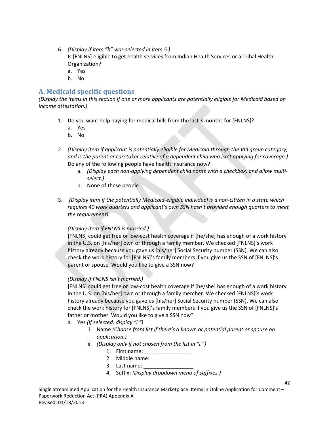- 6. *(Display if item "b" was selected in item 5.)* Is [FNLNS] eligible to get health services from Indian Health Services or a Tribal Health Organization?
	- a. Yes
	- b. No

## **A. Medicaid specific questions**

*(Display the items in this section if one or more applicants are potentially eligible for Medicaid based on income attestation.)*

- 1. Do you want help paying for medical bills from the last 3 months for [FNLNS]?
	- a. Yes
	- b. No
- 2. *(Display item if applicant is potentially eligible for Medicaid through the VIII group category, and is the parent or caretaker relative of a dependent child who isn't applying for coverage.)* Do any of the following people have health insurance now?
	- a. *(Display each non-applying dependent child name with a checkbox, and allow multiselect.)*
	- b. None of these people
- 3. *(Display item if the potentially Medicaid-eligible individual is a non-citizen in a state which requires 40 work quarters and applicant's own SSN hasn't provided enough quarters to meet the requirement).*

### *(Display item if FNLNS is married*.*)*

[FNLNS] could get free or low-cost health coverage if [he/she] has enough of a work history in the U.S. on [his/her] own or through a family member. We checked [FNLNS]'s work history already because you gave us [his/her] Social Security number (SSN). We can also check the work history for [FNLNS]'s family members if you give us the SSN of [FNLNS]'s parent or spouse. Would you like to give a SSN now?

### *(Display if FNLNS isn't married.)*

[FNLNS] could get free or low-cost health coverage if [he/she] has enough of a work history in the U.S. on [his/her] own or through a family member. We checked [FNLNS]'s work history already because you gave us [his/her] Social Security number (SSN). We can also check the work history for [FNLNS]'s family members if you give us the SSN of [FNLNS]'s father or mother. Would you like to give a SSN now?

- a. Yes *(If selected, display "i.")*
	- i. Name *(Choose from list if there's a known or potential parent or spouse on application.)*

- ii. *(Display only if not chosen from the list in "i.")*
	- 1. First name:
	- 2. Middle name: \_\_\_\_\_\_\_\_\_\_\_\_\_\_\_\_
	- 3. Last name:
	- 4. Suffix: *(Display dropdown menu of suffixes.)*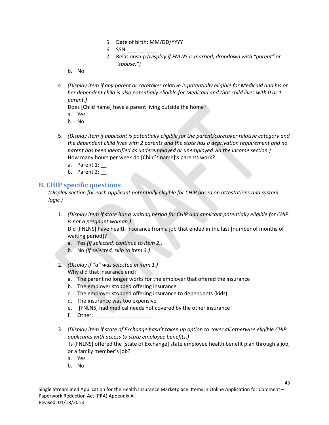- 5. Date of birth: MM/DD/YYYY
- 6. SSN:  $-$
- 7. Relationship *(Display if FNLNS is married, dropdown with "parent" or "spouse.")*

b. No

4. *(Display item if any parent or caretaker relative is potentially eligible for Medicaid and his or her dependent child is also potentially eligible for Medicaid and that child lives with 0 or 1 parent.)*

Does [Child name] have a parent living outside the home?

- a. Yes
- b. No
- 5. *(Display item if applicant is potentially eligible for the parent/caretaker relative category and the dependent child lives with 2 parents and the state has a deprivation requirement and no parent has been identified as underemployed or unemployed via the income section.)* How many hours per week do [Child's name]'s parents work?
	- a. Parent  $1:$
	- b. Parent 2:

### **B. CHIP specific questions**

*(Display section for each applicant potentially eligible for CHIP based on attestations and system logic.)*

1. *(Display item if state has a waiting period for CHIP and applicant potentially eligible for CHIP is not a pregnant woman.)*

Did [FNLNS] have health insurance from a job that ended in the last [number of months of waiting period]?

- a. Yes *(If selected, continue to item 2.)*
- b. No *(If selected, skip to item 3.)*
- 2. *(Display if "a" was selected in item 1.)* Why did that insurance end?
	- a. The parent no longer works for the employer that offered the insurance
	- b. The employer stopped offering insurance
	- c. The employer stopped offering insurance to dependents (kids)
	- d. The insurance was too expensive
	- e. [FNLNS] had medical needs not covered by the other insurance
	- f. Other:
- 3. *(Display item if state of Exchange hasn't taken up option to cover all otherwise eligible CHIP applicants with access to state employee benefits.)* Is [FNLNS] offered the [state of Exchange] state employee health benefit plan through a job, or a family member's job?
	- a. Yes
	- b. No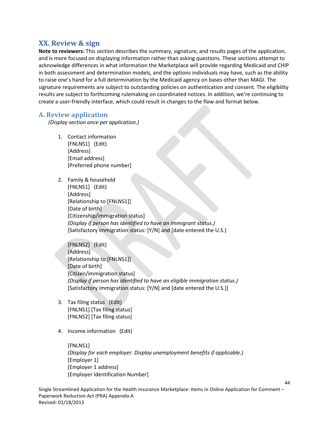## **XX. Review & sign**

**Note to reviewers:** This section describes the summary, signature, and results pages of the application, and is more focused on displaying information rather than asking questions. These sections attempt to acknowledge differences in what information the Marketplace will provide regarding Medicaid and CHIP in both assessment and determination models, and the options individuals may have, such as the ability to raise one's hand for a full determination by the Medicaid agency on bases other than MAGI. The signature requirements are subject to outstanding policies on authentication and consent. The eligibility results are subject to forthcoming rulemaking on coordinated notices. In addition, we're continuing to create a user-friendly interface, which could result in changes to the flow and format below.

#### **A. Review application**

*(Display section once per application.)*

- 1. Contact information [FNLNS1] (Edit) [Address] [Email address] [Preferred phone number]
- 2. Family & household [FNLNS1] (Edit) [Address] [Relationship to [FNLNS1]] [Date of birth] [Citizenship/immigration status] *(Display if person has identified to have an immigrant status.)* [Satisfactory immigration status: [Y/N] and [date entered the U.S.]

[FNLNS2] (Edit) [Address] [Relationship to [FNLNS1]] [Date of birth] [Citizen/immigration status] *(Display if person has identified to have an eligible immigration status.)* [Satisfactory immigration status: [Y/N] and [date entered the U.S.]]

- 3. Tax filing status (Edit) [FNLNS1] [Tax filing status] [FNLNS2] [Tax filing status]
- 4. Income information (Edit)

[FNLNS1] *(Display for each employer. Display unemployment benefits if applicable.)*  [Employer 1] [Employer 1 address] [Employer Identification Number]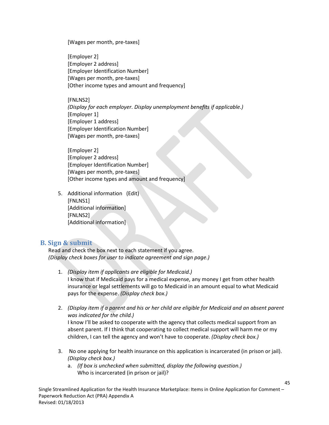[Wages per month, pre-taxes]

[Employer 2] [Employer 2 address] [Employer Identification Number] [Wages per month, pre-taxes] [Other income types and amount and frequency]

[FNLNS2]

*(Display for each employer. Display unemployment benefits if applicable.)*  [Employer 1] [Employer 1 address] [Employer Identification Number] [Wages per month, pre-taxes]

[Employer 2] [Employer 2 address] [Employer Identification Number] [Wages per month, pre-taxes] [Other income types and amount and frequency]

5. Additional information (Edit) [FNLNS1] [Additional information] [FNLNS2] [Additional information]

### **B. Sign & submit**

Read and check the box next to each statement if you agree. *(Display check boxes for user to indicate agreement and sign page.)*

- 1. *(Display item if applicants are eligible for Medicaid.)* I know that if Medicaid pays for a medical expense, any money I get from other health insurance or legal settlements will go to Medicaid in an amount equal to what Medicaid pays for the expense. *(Display check box.)*
- 2. *(Display item if a parent and his or her child are eligible for Medicaid and an absent parent was indicated for the child.)* I know I'll be asked to cooperate with the agency that collects medical support from an

absent parent. If I think that cooperating to collect medical support will harm me or my children, I can tell the agency and won't have to cooperate. *(Display check box.)*

- 3. No one applying for health insurance on this application is incarcerated (in prison or jail). *(Display check box.)*
	- a. *(If box is unchecked when submitted, display the following question.)* Who is incarcerated (in prison or jail)?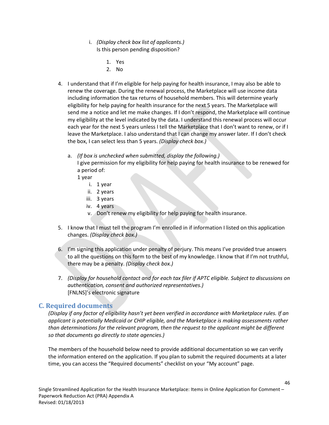- i. *(Display check box list of applicants.)* Is this person pending disposition?
	- 1. Yes
	- 2. No
- 4. I understand that if I'm eligible for help paying for health insurance, I may also be able to renew the coverage. During the renewal process, the Marketplace will use income data including information the tax returns of household members. This will determine yearly eligibility for help paying for health insurance for the next 5 years. The Marketplace will send me a notice and let me make changes. If I don't respond, the Marketplace will continue my eligibility at the level indicated by the data. I understand this renewal process will occur each year for the next 5 years unless I tell the Marketplace that I don't want to renew, or if I leave the Marketplace. I also understand that I can change my answer later. If I don't check the box, I can select less than 5 years. *(Display check box.)*
	- a. *(If box is unchecked when submitted, display the following.)* I give permission for my eligibility for help paying for health insurance to be renewed for
		- a period of:
		- 1 year
			- i. 1 year
			- ii. 2 years
			- iii. 3 years
			- iv. 4 years
			- v. Don't renew my eligibility for help paying for health insurance.
- 5. I know that I must tell the program I'm enrolled in if information I listed on this application changes. *(Display check box.)*
- 6. I'm signing this application under penalty of perjury. This means I've provided true answers to all the questions on this form to the best of my knowledge. I know that if I'm not truthful, there may be a penalty. *(Display check box.)*
- 7. *(Display for household contact and for each tax filer if APTC eligible. Subject to discussions on authentication, consent and authorized representatives.)* [FNLNS]'s electronic signature

### **C. Required documents**

*(Display if any factor of eligibility hasn't yet been verified in accordance with Marketplace rules. If an applicant is potentially Medicaid or CHIP eligible, and the Marketplace is making assessments rather than determinations for the relevant program, then the request to the applicant might be different so that documents go directly to state agencies.)*

The members of the household below need to provide additional documentation so we can verify the information entered on the application. If you plan to submit the required documents at a later time, you can access the "Required documents" checklist on your "My account" page.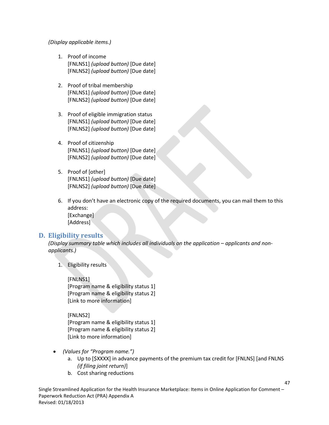#### *(Display applicable items.)*

- 1. Proof of income [FNLNS1] *(upload button)* [Due date] [FNLNS2] *(upload button)* [Due date]
- 2. Proof of tribal membership [FNLNS1] *(upload button)* [Due date] [FNLNS2] *(upload button)* [Due date]
- 3. Proof of eligible immigration status [FNLNS1] *(upload button)* [Due date] [FNLNS2] *(upload button)* [Due date]
- 4. Proof of citizenship [FNLNS1] *(upload button)* [Due date] [FNLNS2] *(upload button)* [Due date]
- 5. Proof of [other] [FNLNS1] *(upload button)* [Due date] [FNLNS2] *(upload button)* [Due date]
- 6. If you don't have an electronic copy of the required documents, you can mail them to this address: [Exchange] [Address]

#### **D. Eligibility results**

*(Display summary table which includes all individuals on the application – applicants and nonapplicants.)*

1. Eligibility results

[FNLNS1]

[Program name & eligibility status 1] [Program name & eligibility status 2] [Link to more information]

#### [FNLNS2]

[Program name & eligibility status 1] [Program name & eligibility status 2] [Link to more information]

- *(Values for "Program name.")*
	- a. Up to [\$XXXX] in advance payments of the premium tax credit for [FNLNS] [and FNLNS *(if filing joint return)*]

47

b. Cost sharing reductions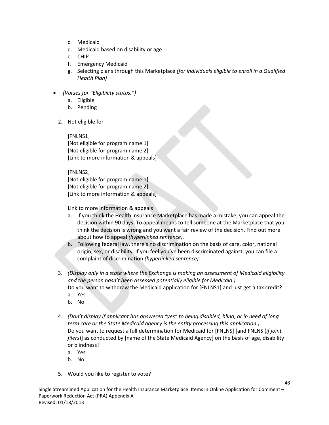- c. Medicaid
- d. Medicaid based on disability or age
- e. CHIP
- f. Emergency Medicaid
- g. Selecting plans through this Marketplace *(for individuals eligible to enroll in a Qualified Health Plan)*
- *(Values for "Eligibility status.")*
	- a. Eligible
	- b. Pending
	- 2. Not eligible for

[FNLNS1] [Not eligible for program name 1] [Not eligible for program name 2] [Link to more information & appeals]

#### [FNLNS2]

[Not eligible for program name 1] [Not eligible for program name 2] [Link to more information & appeals]

Link to more information & appeals

- a. If you think the Health Insurance Marketplace has made a mistake, you can appeal the decision within 90 days. To appeal means to tell someone at the Marketplace that you think the decision is wrong and you want a fair review of the decision. Find out more about how to appeal *(hyperlinked sentence).*
- b. Following federal law, there's no discrimination on the basis of care, color, national origin, sex, or disability. If you feel you've been discriminated against, you can file a complaint of discrimination *(hyperlinked sentence).*
- 3. *(Display only in a state where the Exchange is making an assessment of Medicaid eligibility and the person hasn't been assessed potentially eligible for Medicaid.)* Do you want to withdraw the Medicaid application for [FNLNS1] and just get a tax credit?
	- a. Yes
	- b. No
- 4. *(Don't display if applicant has answered "yes" to being disabled, blind, or in need of long term care or the State Medicaid agency is the entity processing this application.)* Do you want to request a full determination for Medicaid for [FNLNS] [and FNLNS (*if joint filers*)] as conducted by [name of the State Medicaid Agency] on the basis of age, disability or blindness?

- a. Yes
- b. No
- 5. Would you like to register to vote?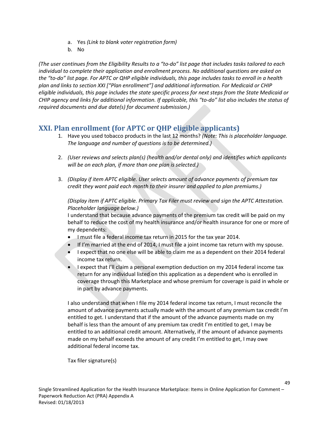- a. Yes *(Link to blank voter registration form)*
- b. No

*(The user continues from the Eligibility Results to a "to-do" list page that includes tasks tailored to each individual to complete their application and enrollment process. No additional questions are asked on the "to-do" list page. For APTC or QHP eligible individuals, this page includes tasks to enroll in a health plan and links to section XXI ["Plan enrollment"] and additional information. For Medicaid or CHIP eligible individuals, this page includes the state specific process for next steps from the State Medicaid or CHIP agency and links for additional information. If applicable, this "to-do" list also includes the status of required documents and due date(s) for document submission.)*

## **XXI. Plan enrollment (for APTC or QHP eligible applicants)**

- 1. Have you used tobacco products in the last 12 months? *(Note: This is placeholder language. The language and number of questions is to be determined.)*
- 2. *(User reviews and selects plan(s) (health and/or dental only) and identifies which applicants will be on each plan, if more than one plan is selected.)*
- 3. *(Display if item APTC eligible. User selects amount of advance payments of premium tax credit they want paid each month to their insurer and applied to plan premiums.)*

*(Display item if APTC eligible. Primary Tax Filer must review and sign the APTC Attestation. Placeholder language below.)*

I understand that because advance payments of the premium tax credit will be paid on my behalf to reduce the cost of my health insurance and/or health insurance for one or more of my dependents:

- I must file a federal income tax return in 2015 for the tax year 2014.
- If I'm married at the end of 2014, I must file a joint income tax return with my spouse.
- I expect that no one else will be able to claim me as a dependent on their 2014 federal income tax return.
- I expect that I'll claim a personal exemption deduction on my 2014 federal income tax return for any individual listed on this application as a dependent who is enrolled in coverage through this Marketplace and whose premium for coverage is paid in whole or in part by advance payments.

I also understand that when I file my 2014 federal income tax return, I must reconcile the amount of advance payments actually made with the amount of any premium tax credit I'm entitled to get. I understand that if the amount of the advance payments made on my behalf is less than the amount of any premium tax credit I'm entitled to get, I may be entitled to an additional credit amount. Alternatively, if the amount of advance payments made on my behalf exceeds the amount of any credit I'm entitled to get, I may owe additional federal income tax.

Tax filer signature(s)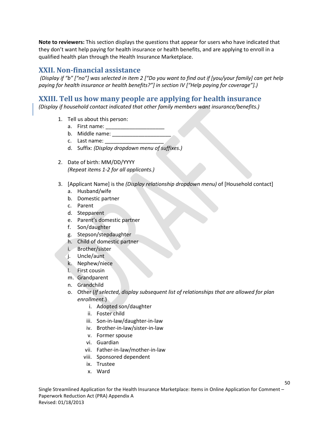**Note to reviewers:** This section displays the questions that appear for users who have indicated that they don't want help paying for health insurance or health benefits, and are applying to enroll in a qualified health plan through the Health Insurance Marketplace.

### **XXII. Non-financial assistance**

*(Display if "b" ["no"] was selected in item 2 ["Do you want to find out if [you/your family] can get help paying for health insurance or health benefits?"] in section IV ["Help paying for coverage"].)*

## **XXIII. Tell us how many people are applying for health insurance**

*(Display if household contact indicated that other family members want insurance/benefits.)*

- 1. Tell us about this person:
	- a. First name:
	- b. Middle name:
	- c. Last name:
	- d. Suffix: *(Display dropdown menu of suffixes.)*
- 2. Date of birth: MM/DD/YYYY *(Repeat items 1-2 for all applicants.)*
- 3. [Applicant Name] is the *(Display relationship dropdown menu)* of [Household contact]
	- a. Husband/wife
	- b. Domestic partner
	- c. Parent
	- d. Stepparent
	- e. Parent's domestic partner
	- f. Son/daughter
	- g. Stepson/stepdaughter
	- h. Child of domestic partner
	- i. Brother/sister
	- j. Uncle/aunt
	- k. Nephew/niece
	- l. First cousin
	- m. Grandparent
	- n. Grandchild
	- o. Other (*If selected, display subsequent list of relationships that are allowed for plan enrollment.*)
		- i. Adopted son/daughter
		- ii. Foster child
		- iii. Son-in-law/daughter-in-law
		- iv. Brother-in-law/sister-in-law
		- v. Former spouse
		- vi. Guardian
		- vii. Father-in-law/mother-in-law
		- viii. Sponsored dependent
		- ix. Trustee
		- x. Ward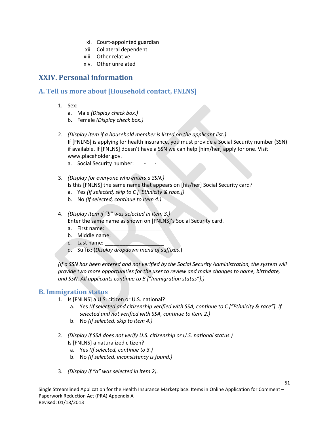- xi. Court-appointed guardian
- xii. Collateral dependent
- xiii. Other relative
- xiv. Other unrelated

## **XXIV. Personal information**

## **A. Tell us more about [Household contact, FNLNS]**

- 1. Sex:
	- a. Male *(Display check box.)*
	- b. Female *(Display check box.)*
- 2. *(Display item if a household member is listed on the applicant list.)* If [FNLNS] is applying for health insurance, you must provide a Social Security number (SSN) if available. If [FNLNS] doesn't have a SSN we can help [him/her] apply for one. Visit www.placeholder.gov.
	- a. Social Security number: \_\_\_\_-
- 3. *(Display for everyone who enters a SSN.)*
	- Is this [FNLNS] the same name that appears on [his/her] Social Security card?
	- a. Yes *(If selected, skip to C ["Ethnicity & race.])*
	- b. No *(If selected, continue to item 4.)*
- 4. *(Display item if "b" was selected in item 3.)* Enter the same name as shown on [FNLNS]'s Social Security card.
	- a. First name:
	- b. Middle name:
	- c. Last name:
	- d. Suffix: (*Display dropdown menu of suffixes*.)

*(If a SSN has been entered and not verified by the Social Security Administration, the system will provide two more opportunities for the user to review and make changes to name, birthdate, and SSN. All applicants continue to B ["Immigration status"].)*

### **B. Immigration status**

- 1. Is [FNLNS] a U.S. citizen or U.S. national?
	- a. Yes *(If selected and citizenship verified with SSA, continue to C ["Ethnicity & race"]. If selected and not verified with SSA, continue to item 2.)*

- b. No *(If selected, skip to item 4.)*
- 2. *(Display if SSA does not verify U.S. citizenship or U.S. national status.)* Is [FNLNS] a naturalized citizen?
	- a. Yes *(If selected, continue to 3.)*
	- b. No *(If selected, inconsistency is found.)*
- 3. *(Display if "a" was selected in item 2).*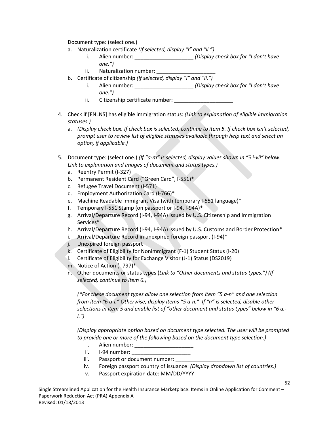Document type: (select one.)

- a. Naturalization certificate *(If selected, display "i" and "ii.")*
	- i. Alien number: \_\_\_\_\_\_\_\_\_\_\_\_\_\_\_\_\_\_\_\_ *(Display check box for "I don't have one.")*
	- ii. Naturalization number:
- b. Certificate of citizenship *(If selected, display "i" and "ii.")*
	- i. Alien number: \_\_\_\_\_\_\_\_\_\_\_\_\_\_\_\_\_\_\_\_ *(Display check box for "I don't have one.")*
	- ii. Citizenship certificate number: \_\_\_\_\_\_\_\_\_\_\_\_\_
- 4. Check if [FNLNS] has eligible immigration status: *(Link to explanation of eligible immigration statuses.)*
	- a. *(Display check box. If check box is selected, continue to item 5. If check box isn't selected, prompt user to review list of eligible statuses available through help text and select an option, if applicable.)*
- 5. Document type: (select one.) *(If "a-m" is selected, display values shown in "5 i-vii" below. Link to explanation and images of document and status types.)*
	- a. Reentry Permit (I-327)
	- b. Permanent Resident Card ("Green Card", I-551)\*
	- c. Refugee Travel Document (I-571)
	- d. Employment Authorization Card (I-766)\*
	- e. Machine Readable Immigrant Visa (with temporary I-551 language)\*
	- f. Temporary I-551 Stamp (on passport or I-94, I-94A)\*
	- g. Arrival/Departure Record (I-94, I-94A) issued by U.S. Citizenship and Immigration Services\*
	- h. Arrival/Departure Record (I-94, I-94A) issued by U.S. Customs and Border Protection\*
	- i. Arrival/Departure Record in unexpired foreign passport (I-94)\*
	- j. Unexpired foreign passport
	- k. Certificate of Eligibility for Nonimmigrant (F-1) Student Status (I-20)
	- l. Certificate of Eligibility for Exchange Visitor (J-1) Status (DS2019)
	- m. Notice of Action (I-797)\*
	- n. Other documents or status types (*Link to "Other documents and status types.") (If selected, continue to item 6.)*

*(\*For these document types allow one selection from item "5 a-n" and one selection from item "6 a-i." Otherwise, display items "5 a-n." If "n" is selected, disable other selections in item 5 and enable list of "other document and status types" below in "6 a. i.")*

*(Display appropriate option based on document type selected. The user will be prompted to provide one or more of the following based on the document type selection.)*

- i. Alien number: \_\_\_\_\_\_\_\_\_\_\_\_\_\_\_\_\_\_\_\_
- ii. I-94 number:
- iii. Passport or document number:
- iv. Foreign passport country of issuance: *(Display dropdown list of countries.)*

52

v. Passport expiration date: MM/DD/YYYY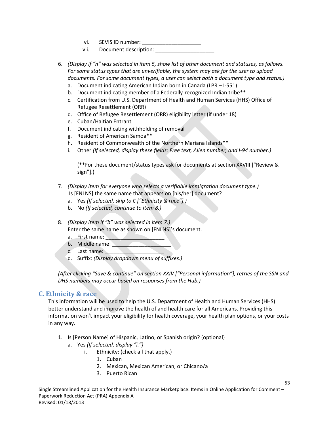- vi. SEVIS ID number: \_\_\_\_\_\_\_\_\_\_\_\_\_\_\_\_\_\_\_\_
- vii. Document description:
- 6. *(Display if "n" was selected in item 5, show list of other document and statuses, as follows. For some status types that are unverifiable, the system may ask for the user to upload documents. For some document types, a user can select both a document type and status.)*
	- a. Document indicating American Indian born in Canada (LPR I-551)
	- b. Document indicating member of a Federally-recognized Indian tribe\*\*
	- c. Certification from U.S. Department of Health and Human Services (HHS) Office of Refugee Resettlement (ORR)
	- d. Office of Refugee Resettlement (ORR) eligibility letter (if under 18)
	- e. Cuban/Haitian Entrant
	- f. Document indicating withholding of removal
	- g. Resident of American Samoa\*\*
	- h. Resident of Commonwealth of the Northern Mariana Islands\*\*
	- i. Other *(If selected, display these fields: Free text, Alien number, and I-94 number.)*

(\*\*For these document/status types ask for documents at section XXVIII ["Review & sign"].)

- 7. *(Display item for everyone who selects a verifiable immigration document type.)* Is [FNLNS] the same name that appears on [his/her] document?
	- a. Yes *(If selected, skip to C ["Ethnicity & race"].)*
	- b. No *(If selected, continue to item 8.)*
- 8. *(Display item if "b" was selected in item 7.)*

Enter the same name as shown on [FNLNS]'s document.

- a. First name:
- b. Middle name:
- c. Last name:
- d. Suffix: *(Display dropdown menu of suffixes.)*

*(After clicking "Save & continue" on section XXIV ["Personal information"], retries of the SSN and DHS numbers may occur based on responses from the Hub.)*

### **C. Ethnicity & race**

This information will be used to help the U.S. Department of Health and Human Services (HHS) better understand and improve the health of and health care for all Americans. Providing this information won't impact your eligibility for health coverage, your health plan options, or your costs in any way.

- 1. Is [Person Name] of Hispanic, Latino, or Spanish origin? (optional)
	- a. Yes *(If selected, display "i.")*
		- i. Ethnicity: (check all that apply.)
			- 1. Cuban
			- 2. Mexican, Mexican American, or Chicano/a
			- 3. Puerto Rican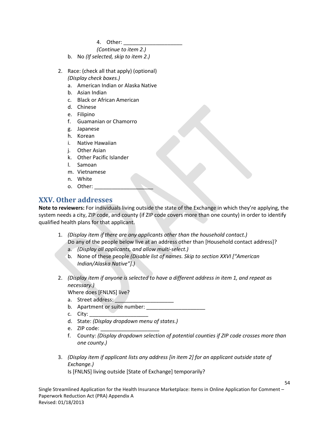4. Other: \_\_\_\_\_\_\_\_\_\_\_\_\_\_\_\_\_\_\_\_

*(Continue to item 2.)*

- b. No *(If selected, skip to item 2.)*
- 2. Race: (check all that apply) (optional) *(Display check boxes.)*
	- a. American Indian or Alaska Native
	- b. Asian Indian
	- c. Black or African American
	- d. Chinese
	- e. Filipino
	- f. Guamanian or Chamorro
	- g. Japanese
	- h. Korean
	- i. Native Hawaiian
	- j. Other Asian
	- k. Other Pacific Islander
	- l. Samoan
	- m. Vietnamese
	- n. White
	- o. Other:

## **XXV. Other addresses**

**Note to reviewers:** For individuals living outside the state of the Exchange in which they're applying, the system needs a city, ZIP code, and county (if ZIP code covers more than one county) in order to identify qualified health plans for that applicant.

- 1. *(Display item if there are any applicants other than the household contact.)* Do any of the people below live at an address other than [Household contact address]?
	- a. *(Display all applicants, and allow multi-select.)*
	- b. None of these people *(Disable list of names. Skip to section XXVI ["American Indian/Alaska Native"].)*
- 2. *(Display item if anyone is selected to have a different address in item 1, and repeat as necessary.)*
	- Where does [FNLNS] live?
	- a. Street address:
	- b. Apartment or suite number:
	- c. City:
	- d. State: *(Display dropdown menu of states.)*
	- e. ZIP code:
	- f. County: *(Display dropdown selection of potential counties if ZIP code crosses more than one county.)*

54

3. *(Display item if applicant lists any address [in item 2] for an applicant outside state of Exchange.)*

Is [FNLNS] living outside [State of Exchange] temporarily?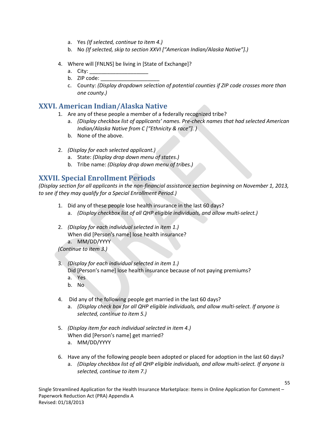- a. Yes *(If selected, continue to item 4.)*
- b. No *(If selected, skip to section XXVI ["American Indian/Alaska Native"].)*
- 4. Where will [FNLNS] be living in [State of Exchange]?
	- a. City:
	- b. ZIP code:
	- c. County: *(Display dropdown selection of potential counties if ZIP code crosses more than one county.)*

## **XXVI. American Indian/Alaska Native**

- 1. Are any of these people a member of a federally recognized tribe?
	- a. *(Display checkbox list of applicants' names. Pre-check names that had selected American Indian/Alaska Native from C ["Ethnicity & race"]. )*
	- b. None of the above.
- 2. *(Display for each selected applicant.)*
	- a. State: *(Display drop down menu of states.)*
	- b. Tribe name: *(Display drop down menu of tribes.)*

## **XXVII. Special Enrollment Periods**

*(Display section for all applicants in the non-financial assistance section beginning on November 1, 2013, to see if they may qualify for a Special Enrollment Period.)*

- 1. Did any of these people lose health insurance in the last 60 days?
	- a. *(Display checkbox list of all QHP eligible individuals, and allow multi-select.)*
- 2. *(Display for each individual selected in item 1.)* When did [Person's name] lose health insurance? a. MM/DD/YYYY

*(Continue to item 3.)*

- 3. *(Display for each individual selected in item 1.)* Did [Person's name] lose health insurance because of not paying premiums? a. Yes
	- b. No
- 4. Did any of the following people get married in the last 60 days?
	- a. *(Display check box for all QHP eligible individuals, and allow multi-select. If anyone is selected, continue to item 5.)*
- 5. *(Display item for each individual selected in item 4.)* When did [Person's name] get married? a. MM/DD/YYYY
- 
- 6. Have any of the following people been adopted or placed for adoption in the last 60 days? a. *(Display checkbox list of all QHP eligible individuals, and allow multi-select. If anyone is selected, continue to item 7.)*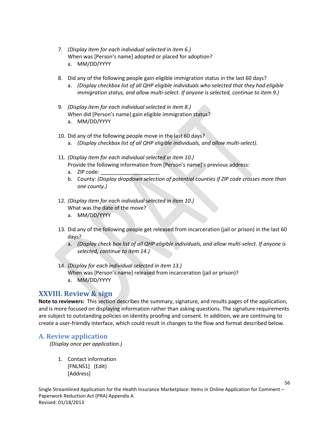- 7. *(Display item for each individual selected in item 6.)* When was [Person's name] adopted or placed for adoption? a. MM/DD/YYYY
- 8. Did any of the following people gain eligible immigration status in the last 60 days?
	- a. *(Display checkbox list of all QHP eligible individuals who selected that they had eligible immigration status, and allow multi-select. If anyone is selected, continue to item 9.)*
- 9. *(Display item for each individual selected in item 8.)* When did [Person's name] gain eligible immigration status? a. MM/DD/YYYY
- 10. Did any of the following people move in the last 60 days?
	- a. *(Display checkbox list of all QHP eligible individuals, and allow multi-select).*
- 11. *(Display item for each individual selected in item 10.)* Provide the following information from [Person's name]'s previous address:
	- a. ZIP code:
	- b. County: *(Display dropdown selection of potential counties if ZIP code crosses more than one county.)*
- 12. *(Display item for each individual selected in item 10.)* What was the date of the move?
	- a. MM/DD/YYYY
- 13. Did any of the following people get released from incarceration (jail or prison) in the last 60 days?
	- a. *(Display check box list of all QHP eligible individuals, and allow multi-select. If anyone is selected, continue to item 14.)*
- 14. *(Display for each individual selected in item 13.)*
	- When was [Person's name] released from incarceration (jail or prison)?
	- a. MM/DD/YYYY

### **XXVIII. Review & sign**

**Note to reviewers:** This section describes the summary, signature, and results pages of the application, and is more focused on displaying information rather than asking questions. The signature requirements are subject to outstanding policies on identity proofing and consent. In addition, we are continuing to create a user-friendly interface, which could result in changes to the flow and format described below.

#### **A. Review application**

*(Display once per application.)*

1. Contact information [FNLNS1] (Edit) [Address]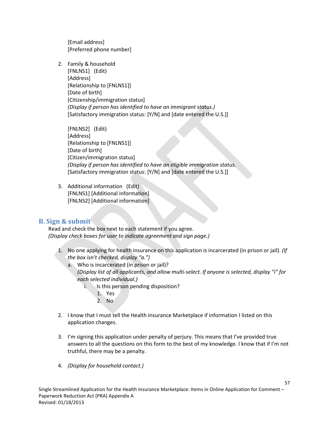[Email address] [Preferred phone number]

2. Family & household [FNLNS1] (Edit) [Address] [Relationship to [FNLNS1]] [Date of birth] [Citizenship/immigration status] *(Display if person has identified to have an immigrant status.)* [Satisfactory immigration status: [Y/N] and [date entered the U.S.]]

[FNLNS2] (Edit) [Address] [Relationship to [FNLNS1]] [Date of birth] [Citizen/immigration status] *(Display if person has identified to have an eligible immigration status.* [Satisfactory immigration status: [Y/N] and [date entered the U.S.]]

3. Additional information (Edit) [FNLNS1] [Additional information] [FNLNS2] [Additional information]

### **B. Sign & submit**

Read and check the box next to each statement if you agree. *(Display check boxes for user to indicate agreement and sign page.)*

- 1. No one applying for health insurance on this application is incarcerated (in prison or jail). *(If the box isn't checked, display "a.")*
	- a. Who is incarcerated (in prison or jail)? *(Display list of all applicants, and allow multi-select. If anyone is selected, display "i" for each selected individual.)* 
		- i. Is this person pending disposition?
			- 1. Yes
			- 2. No
- 2. I know that I must tell the Health Insurance Marketplace if information I listed on this application changes.
- 3. I'm signing this application under penalty of perjury. This means that I've provided true answers to all the questions on this form to the best of my knowledge. I know that if I'm not truthful, there may be a penalty.

57

4. *(Display for household contact.)*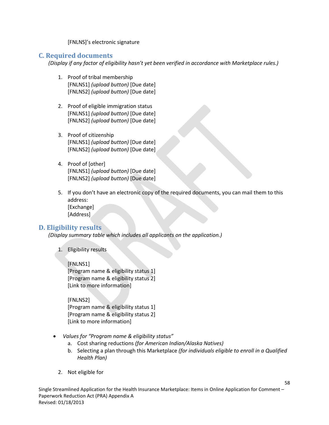[FNLNS]'s electronic signature

### **C. Required documents**

*(Display if any factor of eligibility hasn't yet been verified in accordance with Marketplace rules.)*

- 1. Proof of tribal membership [FNLNS1] *(upload button)* [Due date] [FNLNS2] *(upload button)* [Due date]
- 2. Proof of eligible immigration status [FNLNS1] *(upload button)* [Due date] [FNLNS2] *(upload button)* [Due date]
- 3. Proof of citizenship [FNLNS1] *(upload button)* [Due date] [FNLNS2] *(upload button)* [Due date]
- 4. Proof of [other] [FNLNS1] *(upload button)* [Due date] [FNLNS2] *(upload button)* [Due date]
- 5. If you don't have an electronic copy of the required documents, you can mail them to this address: [Exchange] [Address]

### **D. Eligibility results**

*(Display summary table which includes all applicants on the application.)*

1. Eligibility results

[FNLNS1]

[Program name & eligibility status 1] [Program name & eligibility status 2] [Link to more information]

#### [FNLNS2]

[Program name & eligibility status 1] [Program name & eligibility status 2] [Link to more information]

- *Values for "Program name & eligibility status"*
	- a. Cost sharing reductions *(for American Indian/Alaska Natives)*
	- b. Selecting a plan through this Marketplace *(for individuals eligible to enroll in a Qualified Health Plan)*
	- 2. Not eligible for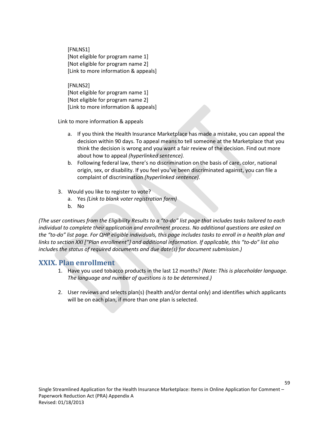[FNLNS1] [Not eligible for program name 1] [Not eligible for program name 2] [Link to more information & appeals]

[FNLNS2] [Not eligible for program name 1] [Not eligible for program name 2] [Link to more information & appeals]

Link to more information & appeals

- a. If you think the Health Insurance Marketplace has made a mistake, you can appeal the decision within 90 days. To appeal means to tell someone at the Marketplace that you think the decision is wrong and you want a fair review of the decision. Find out more about how to appeal *(hyperlinked sentence).*
- b. Following federal law, there's no discrimination on the basis of care, color, national origin, sex, or disability. If you feel you've been discriminated against, you can file a complaint of discrimination *(hyperlinked sentence).*
- 3. Would you like to register to vote?
	- a. Yes *(Link to blank voter registration form)*
	- b. No

*(The user continues from the Eligibility Results to a "to-do" list page that includes tasks tailored to each individual to complete their application and enrollment process. No additional questions are asked on the "to-do" list page. For QHP eligible individuals, this page includes tasks to enroll in a health plan and links to section XXI ["Plan enrollment"] and additional information. If applicable, this "to-do" list also includes the status of required documents and due date(s) for document submission.)*

## **XXIX. Plan enrollment**

- 1. Have you used tobacco products in the last 12 months? *(Note: This is placeholder language. The language and number of questions is to be determined.)*
- 2. User reviews and selects plan(s) (health and/or dental only) and identifies which applicants will be on each plan, if more than one plan is selected.